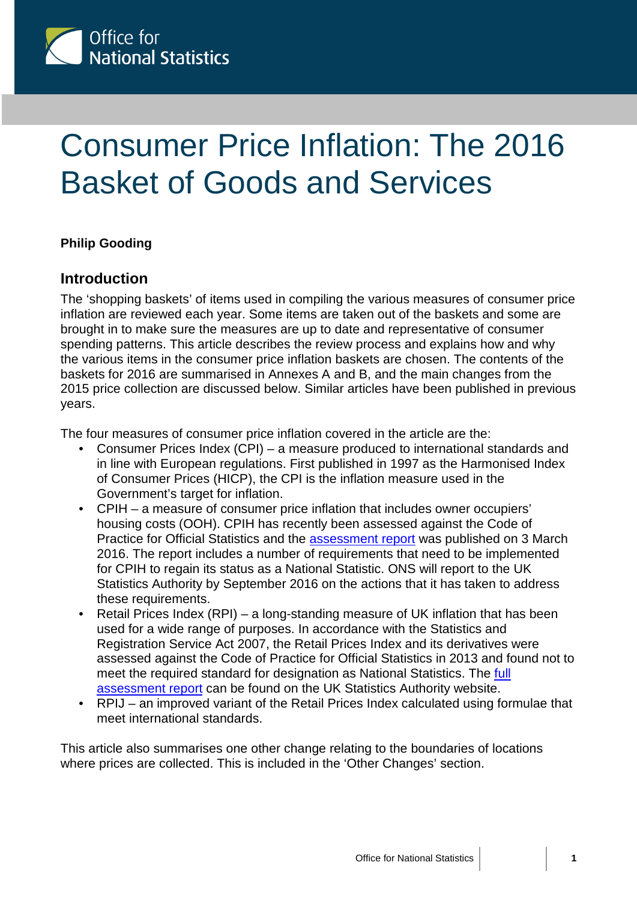

# Consumer Price Inflation: The 2016 Basket of Goods and Services

## **Philip Gooding**

í

## **Introduction**

The 'shopping baskets' of items used in compiling the various measures of consumer price inflation are reviewed each year. Some items are taken out of the baskets and some are brought in to make sure the measures are up to date and representative of consumer spending patterns. This article describes the review process and explains how and why the various items in the consumer price inflation baskets are chosen. The contents of the baskets for 2016 are summarised in Annexes A and B, and the main changes from the 2015 price collection are discussed below. Similar articles have been published in previous years.

The four measures of consumer price inflation covered in the article are the:

- Consumer Prices Index (CPI) a measure produced to international standards and in line with European regulations. First published in 1997 as the Harmonised Index of Consumer Prices (HICP), the CPI is the inflation measure used in the Government's target for inflation.
- CPIH a measure of consumer price inflation that includes owner occupiers' housing costs (OOH). CPIH has recently been assessed against the Code of Practice for Official Statistics and the [assessment report](https://www.statisticsauthority.gov.uk/wp-content/uploads/2016/03/Assessment-Report-322-Statistics-on-Consumer-Price-Inflation-including-Owner-Occupiers-Housing-Costs.pdf) was published on 3 March 2016. The report includes a number of requirements that need to be implemented for CPIH to regain its status as a National Statistic. ONS will report to the UK Statistics Authority by September 2016 on the actions that it has taken to address these requirements.
- Retail Prices Index (RPI) a long-standing measure of UK inflation that has been used for a wide range of purposes. In accordance with the Statistics and Registration Service Act 2007, the Retail Prices Index and its derivatives were assessed against the Code of Practice for Official Statistics in 2013 and found not to meet the required standard for designation as National Statistics. The [full](https://www.statisticsauthority.gov.uk/wp-content/uploads/2015/12/images-assessmentreport246theretailpricesinde_tcm97-42695.pdf)  [assessment report](https://www.statisticsauthority.gov.uk/wp-content/uploads/2015/12/images-assessmentreport246theretailpricesinde_tcm97-42695.pdf) can be found on the UK Statistics Authority website.
- RPIJ an improved variant of the Retail Prices Index calculated using formulae that meet international standards.

This article also summarises one other change relating to the boundaries of locations where prices are collected. This is included in the 'Other Changes' section.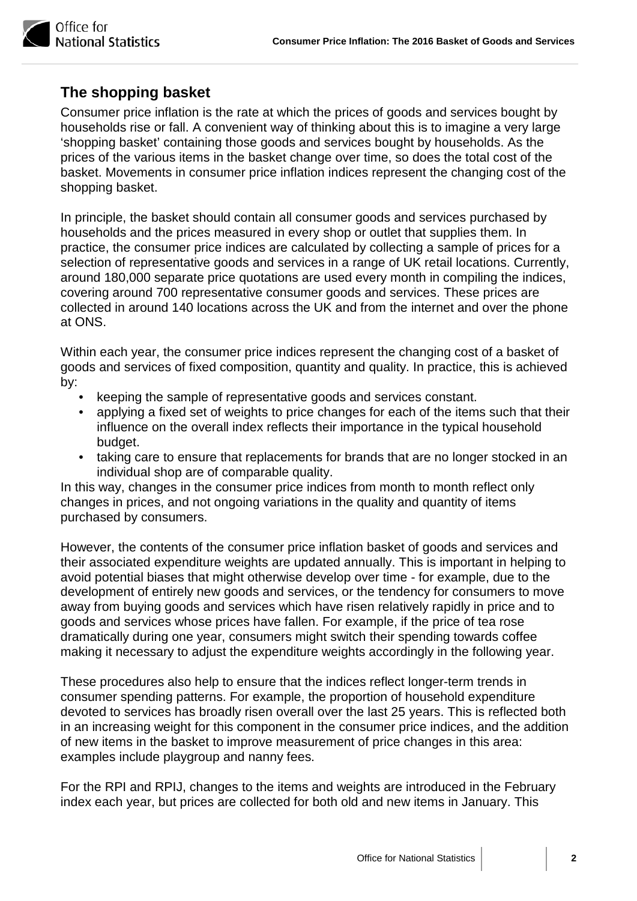

# **The shopping basket**

Consumer price inflation is the rate at which the prices of goods and services bought by households rise or fall. A convenient way of thinking about this is to imagine a very large 'shopping basket' containing those goods and services bought by households. As the prices of the various items in the basket change over time, so does the total cost of the basket. Movements in consumer price inflation indices represent the changing cost of the shopping basket.

In principle, the basket should contain all consumer goods and services purchased by households and the prices measured in every shop or outlet that supplies them. In practice, the consumer price indices are calculated by collecting a sample of prices for a selection of representative goods and services in a range of UK retail locations. Currently, around 180,000 separate price quotations are used every month in compiling the indices, covering around 700 representative consumer goods and services. These prices are collected in around 140 locations across the UK and from the internet and over the phone at ONS.

Within each year, the consumer price indices represent the changing cost of a basket of goods and services of fixed composition, quantity and quality. In practice, this is achieved by:

- keeping the sample of representative goods and services constant.
- applying a fixed set of weights to price changes for each of the items such that their influence on the overall index reflects their importance in the typical household budget.
- taking care to ensure that replacements for brands that are no longer stocked in an individual shop are of comparable quality.

In this way, changes in the consumer price indices from month to month reflect only changes in prices, and not ongoing variations in the quality and quantity of items purchased by consumers.

However, the contents of the consumer price inflation basket of goods and services and their associated expenditure weights are updated annually. This is important in helping to avoid potential biases that might otherwise develop over time - for example, due to the development of entirely new goods and services, or the tendency for consumers to move away from buying goods and services which have risen relatively rapidly in price and to goods and services whose prices have fallen. For example, if the price of tea rose dramatically during one year, consumers might switch their spending towards coffee making it necessary to adjust the expenditure weights accordingly in the following year.

These procedures also help to ensure that the indices reflect longer-term trends in consumer spending patterns. For example, the proportion of household expenditure devoted to services has broadly risen overall over the last 25 years. This is reflected both in an increasing weight for this component in the consumer price indices, and the addition of new items in the basket to improve measurement of price changes in this area: examples include playgroup and nanny fees.

For the RPI and RPIJ, changes to the items and weights are introduced in the February index each year, but prices are collected for both old and new items in January. This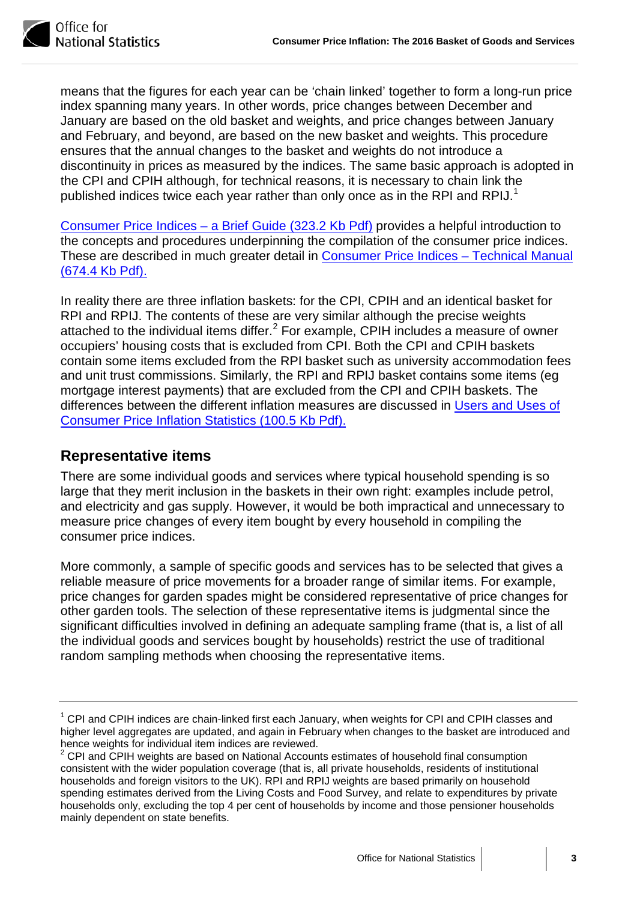

Office for **Jational Statistics** 

means that the figures for each year can be 'chain linked' together to form a long-run price index spanning many years. In other words, price changes between December and January are based on the old basket and weights, and price changes between January and February, and beyond, are based on the new basket and weights. This procedure ensures that the annual changes to the basket and weights do not introduce a discontinuity in prices as measured by the indices. The same basic approach is adopted in the CPI and CPIH although, for technical reasons, it is necessary to chain link the published indices twice each year rather than only once as in the RPI and RPIJ.<sup>[1](#page-2-0)</sup>

[Consumer Price Indices – a Brief Guide](http://www.ons.gov.uk/ons/guide-method/user-guidance/prices/cpi-and-rpi/consumer-price-indices---a-brief-guide-2015.pdf) (323.2 Kb Pdf) provides a helpful introduction to the concepts and procedures underpinning the compilation of the consumer price indices. These are described in much greater detail in [Consumer Price Indices – Technical Manual](http://www.ons.gov.uk/ons/guide-method/user-guidance/prices/cpi-and-rpi/cpi-technical-manual/consumer-price-indices-technical-manual--2014.pdf) [\(674.4 Kb Pdf\).](http://www.ons.gov.uk/ons/guide-method/user-guidance/prices/cpi-and-rpi/cpi-technical-manual/consumer-price-indices-technical-manual--2014.pdf)

In reality there are three inflation baskets: for the CPI, CPIH and an identical basket for RPI and RPIJ. The contents of these are very similar although the precise weights attached to the individual items differ. $^2$  $^2$  For example, CPIH includes a measure of owner occupiers' housing costs that is excluded from CPI. Both the CPI and CPIH baskets contain some items excluded from the RPI basket such as university accommodation fees and unit trust commissions. Similarly, the RPI and RPIJ basket contains some items (eg mortgage interest payments) that are excluded from the CPI and CPIH baskets. The differences between the different inflation measures are discussed in [Users and Uses of](http://www.ons.gov.uk/ons/guide-method/user-guidance/prices/cpi-and-rpi/users-and-uses-of-the-consumer-price-inflation-statistics.pdf)  [Consumer Price Inflation Statistics](http://www.ons.gov.uk/ons/guide-method/user-guidance/prices/cpi-and-rpi/users-and-uses-of-the-consumer-price-inflation-statistics.pdf) (100.5 Kb Pdf).

# **Representative items**

There are some individual goods and services where typical household spending is so large that they merit inclusion in the baskets in their own right: examples include petrol, and electricity and gas supply. However, it would be both impractical and unnecessary to measure price changes of every item bought by every household in compiling the consumer price indices.

More commonly, a sample of specific goods and services has to be selected that gives a reliable measure of price movements for a broader range of similar items. For example, price changes for garden spades might be considered representative of price changes for other garden tools. The selection of these representative items is judgmental since the significant difficulties involved in defining an adequate sampling frame (that is, a list of all the individual goods and services bought by households) restrict the use of traditional random sampling methods when choosing the representative items.

<span id="page-2-0"></span> $1$  CPI and CPIH indices are chain-linked first each January, when weights for CPI and CPIH classes and higher level aggregates are updated, and again in February when changes to the basket are introduced and hence weights for individual item indices are reviewed.

<span id="page-2-1"></span> $2$  CPI and CPIH weights are based on National Accounts estimates of household final consumption consistent with the wider population coverage (that is, all private households, residents of institutional households and foreign visitors to the UK). RPI and RPIJ weights are based primarily on household spending estimates derived from the Living Costs and Food Survey, and relate to expenditures by private households only, excluding the top 4 per cent of households by income and those pensioner households mainly dependent on state benefits.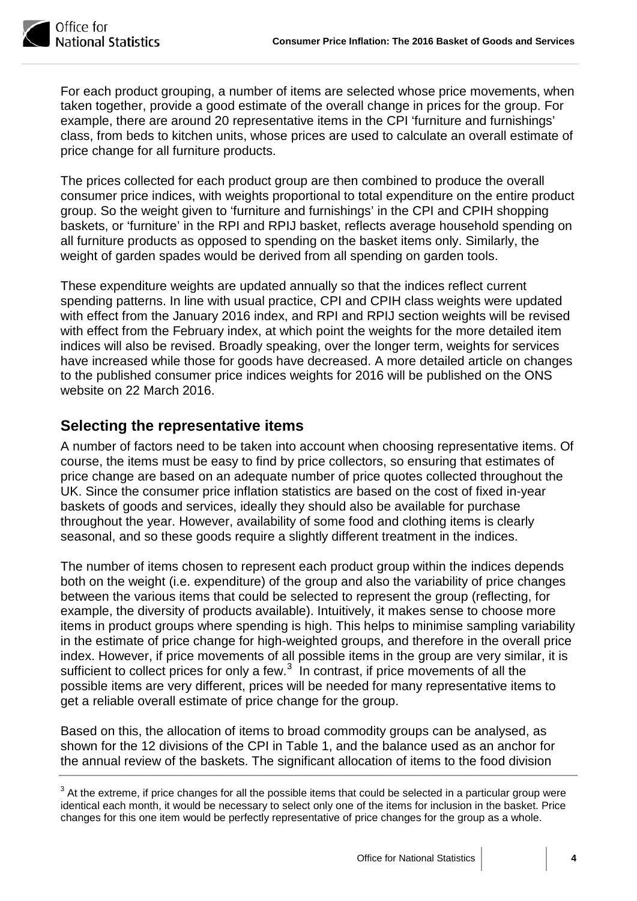

For each product grouping, a number of items are selected whose price movements, when taken together, provide a good estimate of the overall change in prices for the group. For example, there are around 20 representative items in the CPI 'furniture and furnishings' class, from beds to kitchen units, whose prices are used to calculate an overall estimate of price change for all furniture products.

The prices collected for each product group are then combined to produce the overall consumer price indices, with weights proportional to total expenditure on the entire product group. So the weight given to 'furniture and furnishings' in the CPI and CPIH shopping baskets, or 'furniture' in the RPI and RPIJ basket, reflects average household spending on all furniture products as opposed to spending on the basket items only. Similarly, the weight of garden spades would be derived from all spending on garden tools.

These expenditure weights are updated annually so that the indices reflect current spending patterns. In line with usual practice, CPI and CPIH class weights were updated with effect from the January 2016 index, and RPI and RPIJ section weights will be revised with effect from the February index, at which point the weights for the more detailed item indices will also be revised. Broadly speaking, over the longer term, weights for services have increased while those for goods have decreased. A more detailed article on changes to the published consumer price indices weights for 2016 will be published on the ONS website on 22 March 2016.

# **Selecting the representative items**

A number of factors need to be taken into account when choosing representative items. Of course, the items must be easy to find by price collectors, so ensuring that estimates of price change are based on an adequate number of price quotes collected throughout the UK. Since the consumer price inflation statistics are based on the cost of fixed in-year baskets of goods and services, ideally they should also be available for purchase throughout the year. However, availability of some food and clothing items is clearly seasonal, and so these goods require a slightly different treatment in the indices.

The number of items chosen to represent each product group within the indices depends both on the weight (i.e. expenditure) of the group and also the variability of price changes between the various items that could be selected to represent the group (reflecting, for example, the diversity of products available). Intuitively, it makes sense to choose more items in product groups where spending is high. This helps to minimise sampling variability in the estimate of price change for high-weighted groups, and therefore in the overall price index. However, if price movements of all possible items in the group are very similar, it is sufficient to collect prices for only a few. $3\,$  $3\,$  In contrast, if price movements of all the possible items are very different, prices will be needed for many representative items to get a reliable overall estimate of price change for the group.

Based on this, the allocation of items to broad commodity groups can be analysed, as shown for the 12 divisions of the CPI in Table 1, and the balance used as an anchor for the annual review of the baskets. The significant allocation of items to the food division

<span id="page-3-0"></span> $3$  At the extreme, if price changes for all the possible items that could be selected in a particular group were identical each month, it would be necessary to select only one of the items for inclusion in the basket. Price changes for this one item would be perfectly representative of price changes for the group as a whole.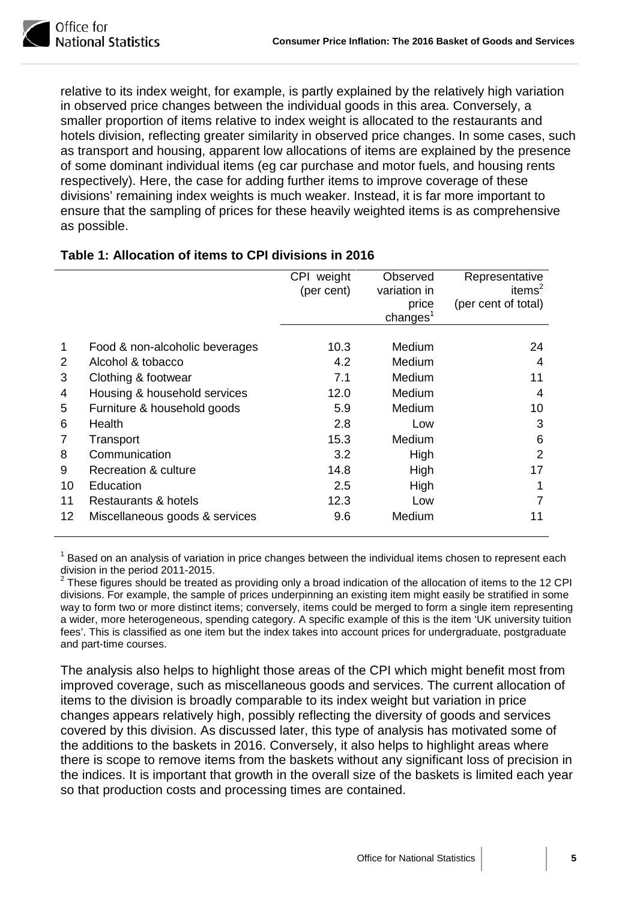

relative to its index weight, for example, is partly explained by the relatively high variation in observed price changes between the individual goods in this area. Conversely, a smaller proportion of items relative to index weight is allocated to the restaurants and hotels division, reflecting greater similarity in observed price changes. In some cases, such as transport and housing, apparent low allocations of items are explained by the presence of some dominant individual items (eg car purchase and motor fuels, and housing rents respectively). Here, the case for adding further items to improve coverage of these divisions' remaining index weights is much weaker. Instead, it is far more important to ensure that the sampling of prices for these heavily weighted items is as comprehensive as possible.

|    |                                | CPI weight<br>(per cent) | Observed<br>variation in<br>price<br>change <sup>1</sup> | Representative<br>items $2$<br>(per cent of total) |
|----|--------------------------------|--------------------------|----------------------------------------------------------|----------------------------------------------------|
| 1  | Food & non-alcoholic beverages | 10.3                     | Medium                                                   | 24                                                 |
| 2  | Alcohol & tobacco              | 4.2                      | Medium                                                   | 4                                                  |
| 3  | Clothing & footwear            | 7.1                      | Medium                                                   | 11                                                 |
| 4  | Housing & household services   | 12.0                     | Medium                                                   | 4                                                  |
| 5  | Furniture & household goods    | 5.9                      | Medium                                                   | 10                                                 |
| 6  | Health                         | 2.8                      | Low                                                      | 3                                                  |
| 7  | Transport                      | 15.3                     | <b>Medium</b>                                            | 6                                                  |
| 8  | Communication                  | 3.2                      | High                                                     | 2                                                  |
| 9  | Recreation & culture           | 14.8                     | High                                                     | 17                                                 |
| 10 | Education                      | 2.5                      | High                                                     |                                                    |
| 11 | Restaurants & hotels           | 12.3                     | Low                                                      |                                                    |
| 12 | Miscellaneous goods & services | 9.6                      | Medium                                                   | 11                                                 |

#### **Table 1: Allocation of items to CPI divisions in 2016**

<sup>1</sup> Based on an analysis of variation in price changes between the individual items chosen to represent each division in the period 2011-2015.

<sup>2</sup> These figures should be treated as providing only a broad indication of the allocation of items to the 12 CPI divisions. For example, the sample of prices underpinning an existing item might easily be stratified in some way to form two or more distinct items; conversely, items could be merged to form a single item representing a wider, more heterogeneous, spending category. A specific example of this is the item 'UK university tuition fees'. This is classified as one item but the index takes into account prices for undergraduate, postgraduate and part-time courses.

The analysis also helps to highlight those areas of the CPI which might benefit most from improved coverage, such as miscellaneous goods and services. The current allocation of items to the division is broadly comparable to its index weight but variation in price changes appears relatively high, possibly reflecting the diversity of goods and services covered by this division. As discussed later, this type of analysis has motivated some of the additions to the baskets in 2016. Conversely, it also helps to highlight areas where there is scope to remove items from the baskets without any significant loss of precision in the indices. It is important that growth in the overall size of the baskets is limited each year so that production costs and processing times are contained.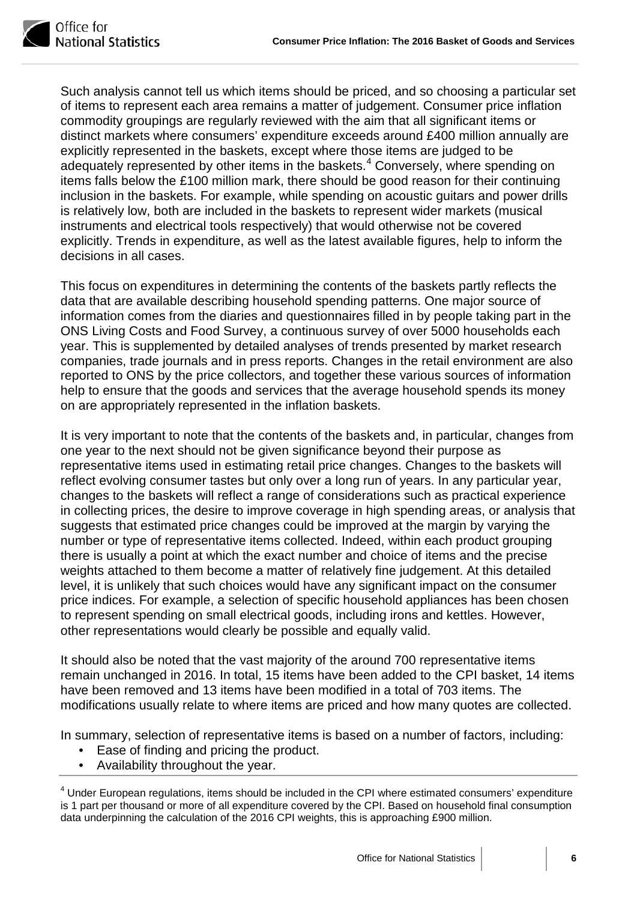

Such analysis cannot tell us which items should be priced, and so choosing a particular set of items to represent each area remains a matter of judgement. Consumer price inflation commodity groupings are regularly reviewed with the aim that all significant items or distinct markets where consumers' expenditure exceeds around £400 million annually are explicitly represented in the baskets, except where those items are judged to be adequately represented by other items in the baskets.<sup>[4](#page-5-0)</sup> Conversely, where spending on items falls below the £100 million mark, there should be good reason for their continuing inclusion in the baskets. For example, while spending on acoustic guitars and power drills is relatively low, both are included in the baskets to represent wider markets (musical instruments and electrical tools respectively) that would otherwise not be covered explicitly. Trends in expenditure, as well as the latest available figures, help to inform the decisions in all cases.

This focus on expenditures in determining the contents of the baskets partly reflects the data that are available describing household spending patterns. One major source of information comes from the diaries and questionnaires filled in by people taking part in the ONS Living Costs and Food Survey, a continuous survey of over 5000 households each year. This is supplemented by detailed analyses of trends presented by market research companies, trade journals and in press reports. Changes in the retail environment are also reported to ONS by the price collectors, and together these various sources of information help to ensure that the goods and services that the average household spends its money on are appropriately represented in the inflation baskets.

It is very important to note that the contents of the baskets and, in particular, changes from one year to the next should not be given significance beyond their purpose as representative items used in estimating retail price changes. Changes to the baskets will reflect evolving consumer tastes but only over a long run of years. In any particular year, changes to the baskets will reflect a range of considerations such as practical experience in collecting prices, the desire to improve coverage in high spending areas, or analysis that suggests that estimated price changes could be improved at the margin by varying the number or type of representative items collected. Indeed, within each product grouping there is usually a point at which the exact number and choice of items and the precise weights attached to them become a matter of relatively fine judgement. At this detailed level, it is unlikely that such choices would have any significant impact on the consumer price indices. For example, a selection of specific household appliances has been chosen to represent spending on small electrical goods, including irons and kettles. However, other representations would clearly be possible and equally valid.

It should also be noted that the vast majority of the around 700 representative items remain unchanged in 2016. In total, 15 items have been added to the CPI basket, 14 items have been removed and 13 items have been modified in a total of 703 items. The modifications usually relate to where items are priced and how many quotes are collected.

In summary, selection of representative items is based on a number of factors, including:

- Ease of finding and pricing the product.
- Availability throughout the year.

<span id="page-5-0"></span><sup>4</sup> Under European regulations, items should be included in the CPI where estimated consumers' expenditure is 1 part per thousand or more of all expenditure covered by the CPI. Based on household final consumption data underpinning the calculation of the 2016 CPI weights, this is approaching £900 million.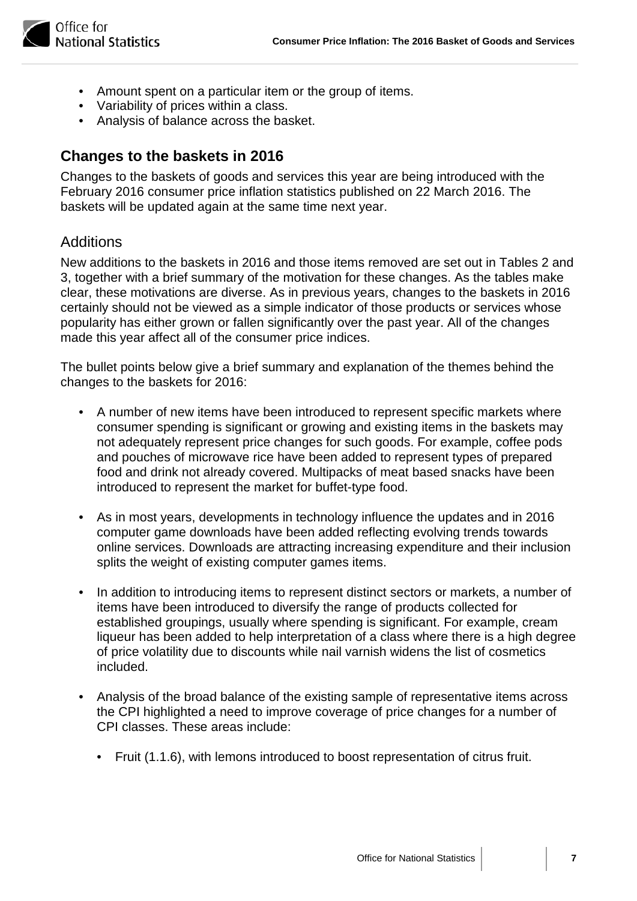

- Amount spent on a particular item or the group of items.
- Variability of prices within a class.
- Analysis of balance across the basket.

# **Changes to the baskets in 2016**

Changes to the baskets of goods and services this year are being introduced with the February 2016 consumer price inflation statistics published on 22 March 2016. The baskets will be updated again at the same time next year.

## **Additions**

New additions to the baskets in 2016 and those items removed are set out in Tables 2 and 3, together with a brief summary of the motivation for these changes. As the tables make clear, these motivations are diverse. As in previous years, changes to the baskets in 2016 certainly should not be viewed as a simple indicator of those products or services whose popularity has either grown or fallen significantly over the past year. All of the changes made this year affect all of the consumer price indices.

The bullet points below give a brief summary and explanation of the themes behind the changes to the baskets for 2016:

- A number of new items have been introduced to represent specific markets where consumer spending is significant or growing and existing items in the baskets may not adequately represent price changes for such goods. For example, coffee pods and pouches of microwave rice have been added to represent types of prepared food and drink not already covered. Multipacks of meat based snacks have been introduced to represent the market for buffet-type food.
- As in most years, developments in technology influence the updates and in 2016 computer game downloads have been added reflecting evolving trends towards online services. Downloads are attracting increasing expenditure and their inclusion splits the weight of existing computer games items.
- In addition to introducing items to represent distinct sectors or markets, a number of items have been introduced to diversify the range of products collected for established groupings, usually where spending is significant. For example, cream liqueur has been added to help interpretation of a class where there is a high degree of price volatility due to discounts while nail varnish widens the list of cosmetics included.
- Analysis of the broad balance of the existing sample of representative items across the CPI highlighted a need to improve coverage of price changes for a number of CPI classes. These areas include:
	- Fruit (1.1.6), with lemons introduced to boost representation of citrus fruit.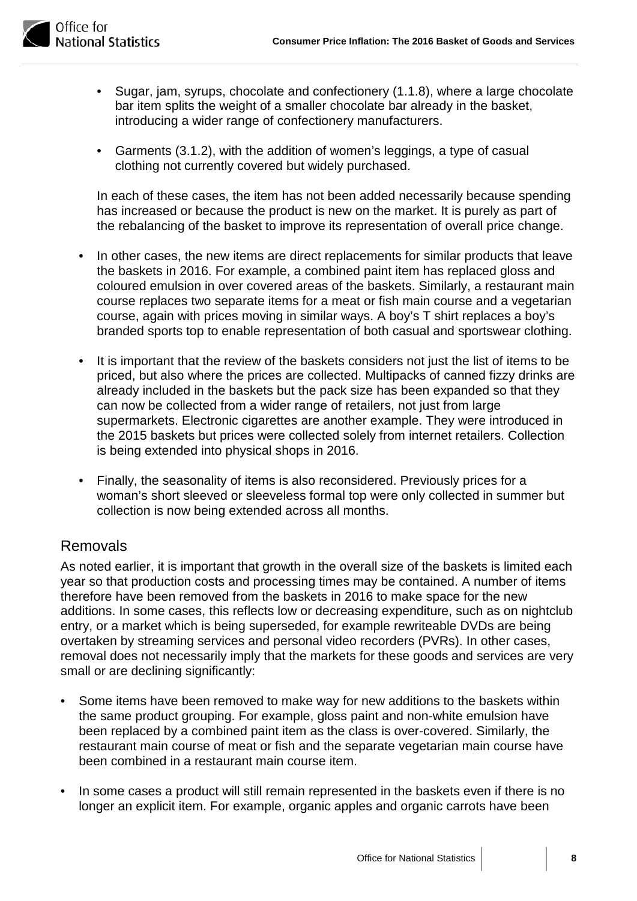

- Sugar, jam, syrups, chocolate and confectionery (1.1.8), where a large chocolate bar item splits the weight of a smaller chocolate bar already in the basket, introducing a wider range of confectionery manufacturers.
- Garments (3.1.2), with the addition of women's leggings, a type of casual clothing not currently covered but widely purchased.

In each of these cases, the item has not been added necessarily because spending has increased or because the product is new on the market. It is purely as part of the rebalancing of the basket to improve its representation of overall price change.

- In other cases, the new items are direct replacements for similar products that leave the baskets in 2016. For example, a combined paint item has replaced gloss and coloured emulsion in over covered areas of the baskets. Similarly, a restaurant main course replaces two separate items for a meat or fish main course and a vegetarian course, again with prices moving in similar ways. A boy's T shirt replaces a boy's branded sports top to enable representation of both casual and sportswear clothing.
- It is important that the review of the baskets considers not just the list of items to be priced, but also where the prices are collected. Multipacks of canned fizzy drinks are already included in the baskets but the pack size has been expanded so that they can now be collected from a wider range of retailers, not just from large supermarkets. Electronic cigarettes are another example. They were introduced in the 2015 baskets but prices were collected solely from internet retailers. Collection is being extended into physical shops in 2016.
- Finally, the seasonality of items is also reconsidered. Previously prices for a woman's short sleeved or sleeveless formal top were only collected in summer but collection is now being extended across all months.

## Removals

As noted earlier, it is important that growth in the overall size of the baskets is limited each year so that production costs and processing times may be contained. A number of items therefore have been removed from the baskets in 2016 to make space for the new additions. In some cases, this reflects low or decreasing expenditure, such as on nightclub entry, or a market which is being superseded, for example rewriteable DVDs are being overtaken by streaming services and personal video recorders (PVRs). In other cases, removal does not necessarily imply that the markets for these goods and services are very small or are declining significantly:

- Some items have been removed to make way for new additions to the baskets within the same product grouping. For example, gloss paint and non-white emulsion have been replaced by a combined paint item as the class is over-covered. Similarly, the restaurant main course of meat or fish and the separate vegetarian main course have been combined in a restaurant main course item.
- In some cases a product will still remain represented in the baskets even if there is no longer an explicit item. For example, organic apples and organic carrots have been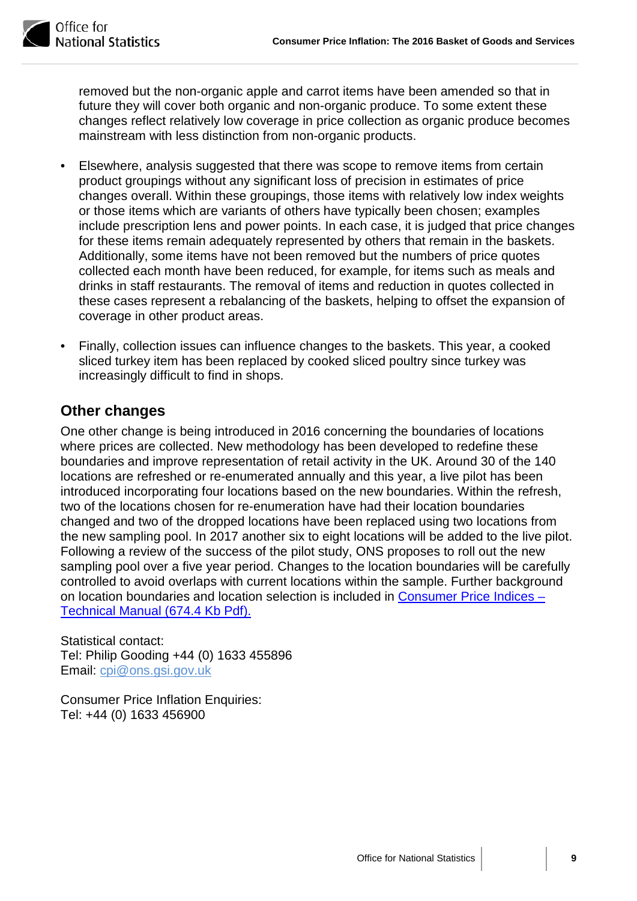

removed but the non-organic apple and carrot items have been amended so that in future they will cover both organic and non-organic produce. To some extent these changes reflect relatively low coverage in price collection as organic produce becomes mainstream with less distinction from non-organic products.

- Elsewhere, analysis suggested that there was scope to remove items from certain product groupings without any significant loss of precision in estimates of price changes overall. Within these groupings, those items with relatively low index weights or those items which are variants of others have typically been chosen; examples include prescription lens and power points. In each case, it is judged that price changes for these items remain adequately represented by others that remain in the baskets. Additionally, some items have not been removed but the numbers of price quotes collected each month have been reduced, for example, for items such as meals and drinks in staff restaurants. The removal of items and reduction in quotes collected in these cases represent a rebalancing of the baskets, helping to offset the expansion of coverage in other product areas.
- Finally, collection issues can influence changes to the baskets. This year, a cooked sliced turkey item has been replaced by cooked sliced poultry since turkey was increasingly difficult to find in shops.

# **Other changes**

One other change is being introduced in 2016 concerning the boundaries of locations where prices are collected. New methodology has been developed to redefine these boundaries and improve representation of retail activity in the UK. Around 30 of the 140 locations are refreshed or re-enumerated annually and this year, a live pilot has been introduced incorporating four locations based on the new boundaries. Within the refresh, two of the locations chosen for re-enumeration have had their location boundaries changed and two of the dropped locations have been replaced using two locations from the new sampling pool. In 2017 another six to eight locations will be added to the live pilot. Following a review of the success of the pilot study, ONS proposes to roll out the new sampling pool over a five year period. Changes to the location boundaries will be carefully controlled to avoid overlaps with current locations within the sample. Further background on location boundaries and location selection is included in [Consumer Price Indices –](http://www.ons.gov.uk/ons/guide-method/user-guidance/prices/cpi-and-rpi/cpi-technical-manual/consumer-price-indices-technical-manual--2014.pdf) [Technical Manual](http://www.ons.gov.uk/ons/guide-method/user-guidance/prices/cpi-and-rpi/cpi-technical-manual/consumer-price-indices-technical-manual--2014.pdf) (674.4 Kb Pdf).

Statistical contact: Tel: Philip Gooding +44 (0) 1633 455896 Email: cpi@ons.gsi.gov.uk

Consumer Price Inflation Enquiries: Tel: +44 (0) 1633 456900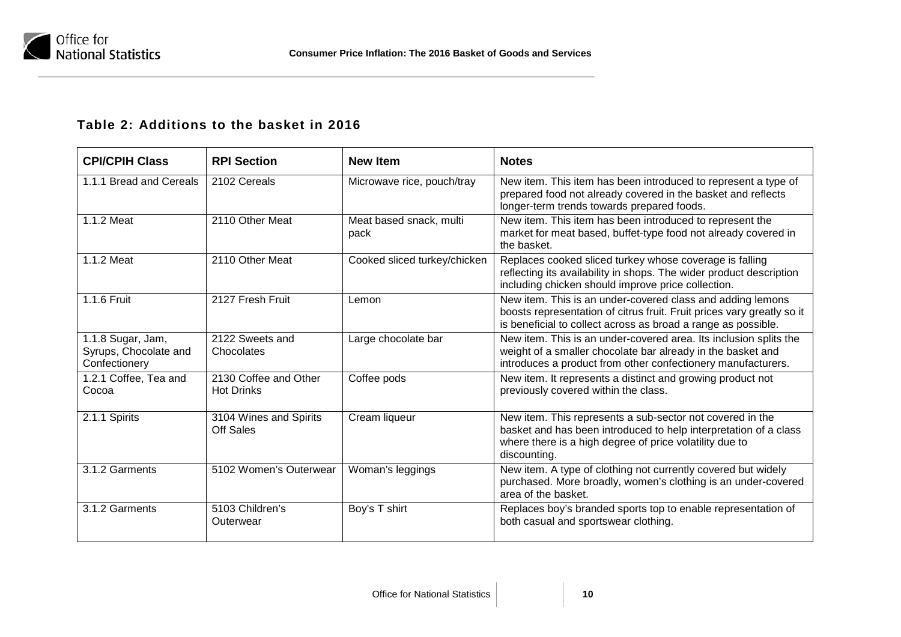

## **Table 2: Additions to the basket in 2016**

| <b>CPI/CPIH Class</b>                                       | <b>RPI Section</b>                         | <b>New Item</b>                 | <b>Notes</b>                                                                                                                                                                                             |
|-------------------------------------------------------------|--------------------------------------------|---------------------------------|----------------------------------------------------------------------------------------------------------------------------------------------------------------------------------------------------------|
| 1.1.1 Bread and Cereals                                     | 2102 Cereals                               | Microwave rice, pouch/tray      | New item. This item has been introduced to represent a type of<br>prepared food not already covered in the basket and reflects<br>longer-term trends towards prepared foods.                             |
| 1.1.2 Meat                                                  | 2110 Other Meat                            | Meat based snack, multi<br>pack | New item. This item has been introduced to represent the<br>market for meat based, buffet-type food not already covered in<br>the basket.                                                                |
| 1.1.2 Meat                                                  | 2110 Other Meat                            | Cooked sliced turkey/chicken    | Replaces cooked sliced turkey whose coverage is falling<br>reflecting its availability in shops. The wider product description<br>including chicken should improve price collection.                     |
| 1.1.6 Fruit                                                 | 2127 Fresh Fruit                           | Lemon                           | New item. This is an under-covered class and adding lemons<br>boosts representation of citrus fruit. Fruit prices vary greatly so it<br>is beneficial to collect across as broad a range as possible.    |
| 1.1.8 Sugar, Jam,<br>Syrups, Chocolate and<br>Confectionery | 2122 Sweets and<br>Chocolates              | Large chocolate bar             | New item. This is an under-covered area. Its inclusion splits the<br>weight of a smaller chocolate bar already in the basket and<br>introduces a product from other confectionery manufacturers.         |
| 1.2.1 Coffee, Tea and<br>Cocoa                              | 2130 Coffee and Other<br><b>Hot Drinks</b> | Coffee pods                     | New item. It represents a distinct and growing product not<br>previously covered within the class.                                                                                                       |
| 2.1.1 Spirits                                               | 3104 Wines and Spirits<br>Off Sales        | Cream liqueur                   | New item. This represents a sub-sector not covered in the<br>basket and has been introduced to help interpretation of a class<br>where there is a high degree of price volatility due to<br>discounting. |
| 3.1.2 Garments                                              | 5102 Women's Outerwear                     | Woman's leggings                | New item. A type of clothing not currently covered but widely<br>purchased. More broadly, women's clothing is an under-covered<br>area of the basket.                                                    |
| 3.1.2 Garments                                              | 5103 Children's<br>Outerwear               | Boy's T shirt                   | Replaces boy's branded sports top to enable representation of<br>both casual and sportswear clothing.                                                                                                    |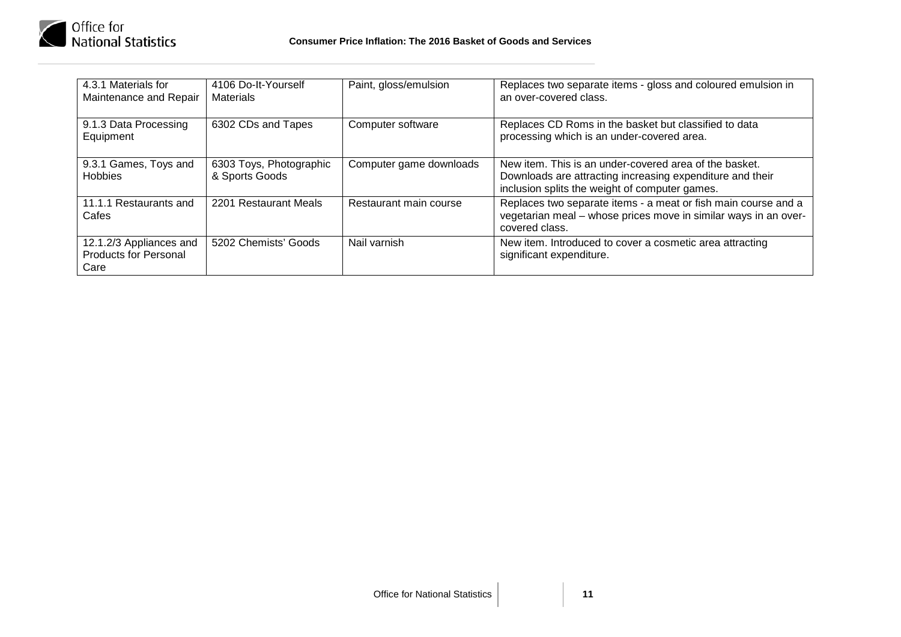

| 4.3.1 Materials for<br>Maintenance and Repair                   | 4106 Do-It-Yourself<br><b>Materials</b>   | Paint, gloss/emulsion   | Replaces two separate items - gloss and coloured emulsion in<br>an over-covered class.                                                                                |
|-----------------------------------------------------------------|-------------------------------------------|-------------------------|-----------------------------------------------------------------------------------------------------------------------------------------------------------------------|
| 9.1.3 Data Processing<br>Equipment                              | 6302 CDs and Tapes                        | Computer software       | Replaces CD Roms in the basket but classified to data<br>processing which is an under-covered area.                                                                   |
| 9.3.1 Games, Toys and<br><b>Hobbies</b>                         | 6303 Toys, Photographic<br>& Sports Goods | Computer game downloads | New item. This is an under-covered area of the basket.<br>Downloads are attracting increasing expenditure and their<br>inclusion splits the weight of computer games. |
| 11.1.1 Restaurants and<br>Cafes                                 | 2201 Restaurant Meals                     | Restaurant main course  | Replaces two separate items - a meat or fish main course and a<br>vegetarian meal - whose prices move in similar ways in an over-<br>covered class.                   |
| 12.1.2/3 Appliances and<br><b>Products for Personal</b><br>Care | 5202 Chemists' Goods                      | Nail varnish            | New item. Introduced to cover a cosmetic area attracting<br>significant expenditure.                                                                                  |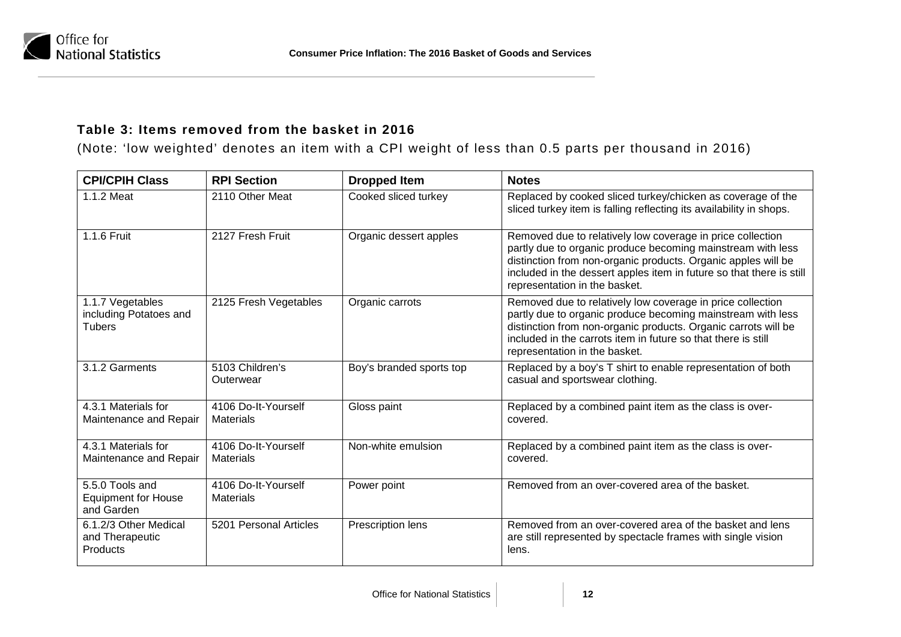

## **Table 3: Items removed from the basket in 2016**

(Note: 'low weighted' denotes an item with a CPI weight of less than 0.5 parts per thousand in 2016)

| <b>CPI/CPIH Class</b>                                       | <b>RPI Section</b>                      | <b>Dropped Item</b>      | <b>Notes</b>                                                                                                                                                                                                                                                                                        |
|-------------------------------------------------------------|-----------------------------------------|--------------------------|-----------------------------------------------------------------------------------------------------------------------------------------------------------------------------------------------------------------------------------------------------------------------------------------------------|
| 1.1.2 Meat                                                  | 2110 Other Meat                         | Cooked sliced turkey     | Replaced by cooked sliced turkey/chicken as coverage of the<br>sliced turkey item is falling reflecting its availability in shops.                                                                                                                                                                  |
| 1.1.6 Fruit                                                 | 2127 Fresh Fruit                        | Organic dessert apples   | Removed due to relatively low coverage in price collection<br>partly due to organic produce becoming mainstream with less<br>distinction from non-organic products. Organic apples will be<br>included in the dessert apples item in future so that there is still<br>representation in the basket. |
| 1.1.7 Vegetables<br>including Potatoes and<br><b>Tubers</b> | 2125 Fresh Vegetables                   | Organic carrots          | Removed due to relatively low coverage in price collection<br>partly due to organic produce becoming mainstream with less<br>distinction from non-organic products. Organic carrots will be<br>included in the carrots item in future so that there is still<br>representation in the basket.       |
| 3.1.2 Garments                                              | 5103 Children's<br>Outerwear            | Boy's branded sports top | Replaced by a boy's T shirt to enable representation of both<br>casual and sportswear clothing.                                                                                                                                                                                                     |
| 4.3.1 Materials for<br>Maintenance and Repair               | 4106 Do-It-Yourself<br><b>Materials</b> | Gloss paint              | Replaced by a combined paint item as the class is over-<br>covered.                                                                                                                                                                                                                                 |
| 4.3.1 Materials for<br>Maintenance and Repair               | 4106 Do-It-Yourself<br><b>Materials</b> | Non-white emulsion       | Replaced by a combined paint item as the class is over-<br>covered.                                                                                                                                                                                                                                 |
| 5.5.0 Tools and<br><b>Equipment for House</b><br>and Garden | 4106 Do-It-Yourself<br><b>Materials</b> | Power point              | Removed from an over-covered area of the basket.                                                                                                                                                                                                                                                    |
| 6.1.2/3 Other Medical<br>and Therapeutic<br><b>Products</b> | 5201 Personal Articles                  | Prescription lens        | Removed from an over-covered area of the basket and lens<br>are still represented by spectacle frames with single vision<br>lens.                                                                                                                                                                   |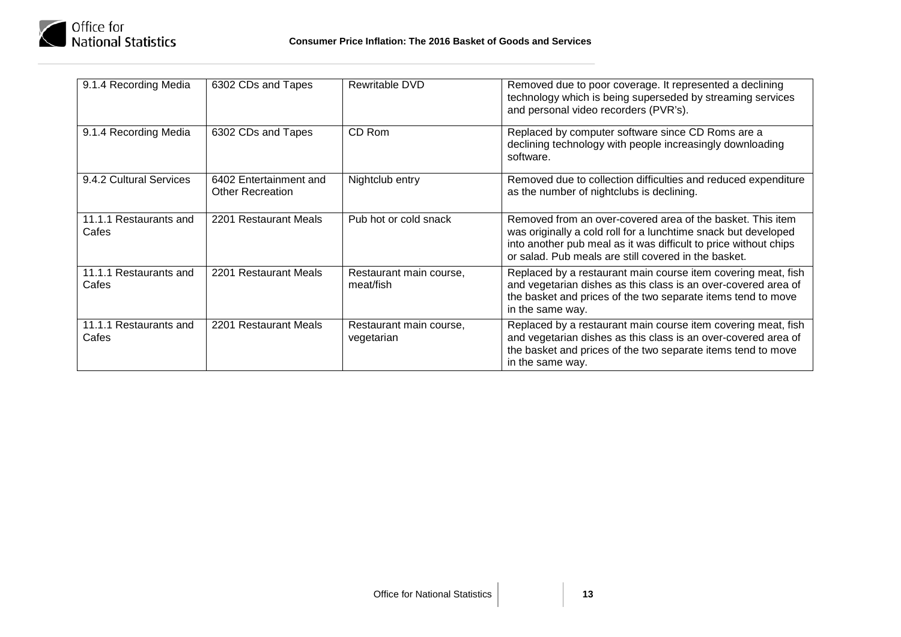

| 9.1.4 Recording Media           | 6302 CDs and Tapes                                | Rewritable DVD                        | Removed due to poor coverage. It represented a declining<br>technology which is being superseded by streaming services<br>and personal video recorders (PVR's).                                                                                          |
|---------------------------------|---------------------------------------------------|---------------------------------------|----------------------------------------------------------------------------------------------------------------------------------------------------------------------------------------------------------------------------------------------------------|
| 9.1.4 Recording Media           | 6302 CDs and Tapes                                | CD Rom                                | Replaced by computer software since CD Roms are a<br>declining technology with people increasingly downloading<br>software.                                                                                                                              |
| 9.4.2 Cultural Services         | 6402 Entertainment and<br><b>Other Recreation</b> | Nightclub entry                       | Removed due to collection difficulties and reduced expenditure<br>as the number of nightclubs is declining.                                                                                                                                              |
| 11.1.1 Restaurants and<br>Cafes | 2201 Restaurant Meals                             | Pub hot or cold snack                 | Removed from an over-covered area of the basket. This item<br>was originally a cold roll for a lunchtime snack but developed<br>into another pub meal as it was difficult to price without chips<br>or salad. Pub meals are still covered in the basket. |
| 11.1.1 Restaurants and<br>Cafes | 2201 Restaurant Meals                             | Restaurant main course,<br>meat/fish  | Replaced by a restaurant main course item covering meat, fish<br>and vegetarian dishes as this class is an over-covered area of<br>the basket and prices of the two separate items tend to move<br>in the same way.                                      |
| 11.1.1 Restaurants and<br>Cafes | 2201 Restaurant Meals                             | Restaurant main course,<br>vegetarian | Replaced by a restaurant main course item covering meat, fish<br>and vegetarian dishes as this class is an over-covered area of<br>the basket and prices of the two separate items tend to move<br>in the same way.                                      |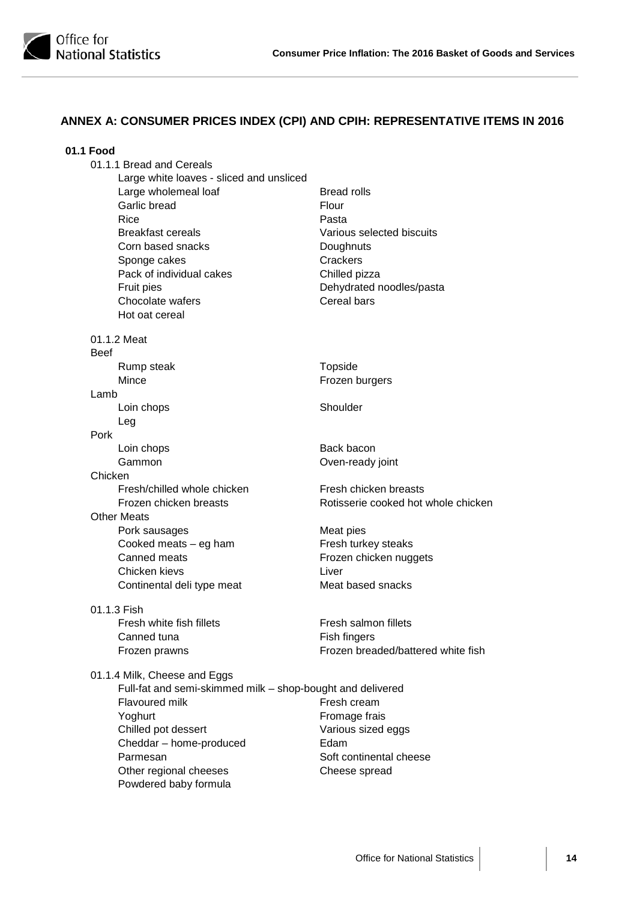

## **ANNEX A: CONSUMER PRICES INDEX (CPI) AND CPIH: REPRESENTATIVE ITEMS IN 2016**

| 01.1 Food                                                  |                                     |
|------------------------------------------------------------|-------------------------------------|
| 01.1.1 Bread and Cereals                                   |                                     |
| Large white loaves - sliced and unsliced                   |                                     |
| Large wholemeal loaf                                       | <b>Bread rolls</b>                  |
| Garlic bread                                               | Flour                               |
| Rice                                                       | Pasta                               |
| <b>Breakfast cereals</b>                                   | Various selected biscuits           |
| Corn based snacks                                          | Doughnuts                           |
| Sponge cakes                                               | Crackers                            |
| Pack of individual cakes                                   | Chilled pizza                       |
| Fruit pies                                                 | Dehydrated noodles/pasta            |
| Chocolate wafers                                           | Cereal bars                         |
| Hot oat cereal                                             |                                     |
| 01.1.2 Meat                                                |                                     |
| <b>Beef</b>                                                |                                     |
| Rump steak                                                 | Topside                             |
| Mince                                                      | Frozen burgers                      |
| Lamb                                                       |                                     |
| Loin chops                                                 | Shoulder                            |
| Leg                                                        |                                     |
| Pork                                                       |                                     |
| Loin chops                                                 | Back bacon                          |
| Gammon                                                     | Oven-ready joint                    |
| Chicken<br>Fresh/chilled whole chicken                     | Fresh chicken breasts               |
| Frozen chicken breasts                                     | Rotisserie cooked hot whole chicken |
| <b>Other Meats</b>                                         |                                     |
| Pork sausages                                              | Meat pies                           |
| Cooked meats - eg ham                                      | Fresh turkey steaks                 |
| Canned meats                                               | Frozen chicken nuggets              |
| Chicken kievs                                              | Liver                               |
| Continental deli type meat                                 | Meat based snacks                   |
| 01.1.3 Fish                                                |                                     |
| Fresh white fish fillets                                   | Fresh salmon fillets                |
| Canned tuna                                                | Fish fingers                        |
| Frozen prawns                                              | Frozen breaded/battered white fish  |
| 01.1.4 Milk, Cheese and Eggs                               |                                     |
| Full-fat and semi-skimmed milk - shop-bought and delivered |                                     |
| <b>Flavoured milk</b>                                      | Fresh cream                         |
| Yoghurt                                                    | Fromage frais                       |
| Chilled pot dessert                                        | Various sized eggs                  |
| Cheddar - home-produced                                    | Edam                                |
| Parmesan                                                   | Soft continental cheese             |
| Other regional cheeses                                     | Cheese spread                       |
| Powdered baby formula                                      |                                     |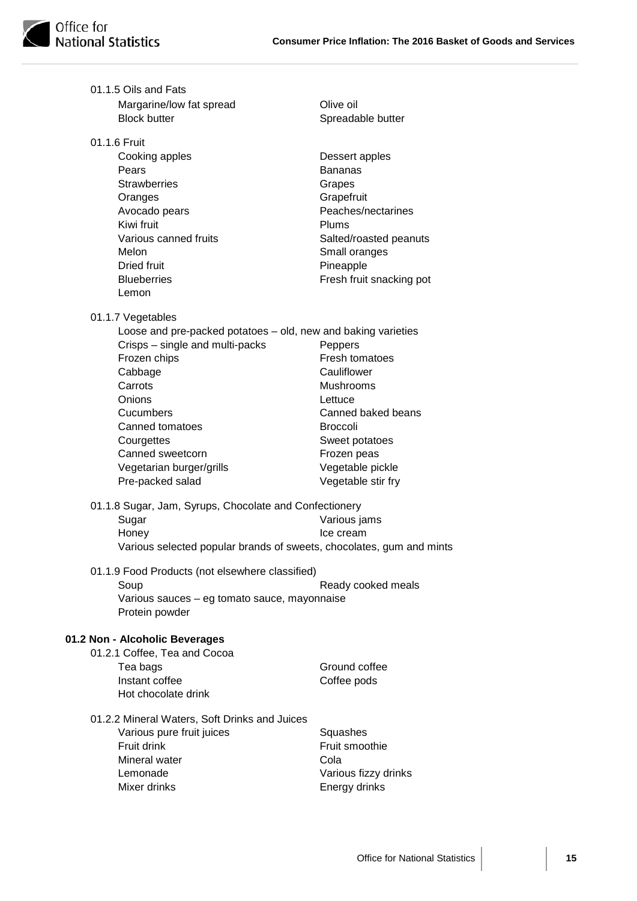

| 01.1.5 Oils and Fats                                                                             |                           |
|--------------------------------------------------------------------------------------------------|---------------------------|
| Margarine/low fat spread                                                                         | Olive oil                 |
| <b>Block butter</b>                                                                              | Spreadable butter         |
| 01.1.6 Fruit                                                                                     |                           |
| Cooking apples                                                                                   | Dessert apples            |
| Pears                                                                                            | <b>Bananas</b>            |
| <b>Strawberries</b>                                                                              | Grapes                    |
| Oranges                                                                                          | Grapefruit                |
| Avocado pears                                                                                    | Peaches/nectarines        |
| Kiwi fruit                                                                                       | Plums                     |
| Various canned fruits                                                                            | Salted/roasted peanuts    |
| Melon                                                                                            | Small oranges             |
| <b>Dried fruit</b>                                                                               | Pineapple                 |
| <b>Blueberries</b><br>Lemon                                                                      | Fresh fruit snacking pot  |
|                                                                                                  |                           |
| 01.1.7 Vegetables                                                                                |                           |
| Loose and pre-packed potatoes - old, new and baking varieties<br>Crisps - single and multi-packs |                           |
| Frozen chips                                                                                     | Peppers<br>Fresh tomatoes |
| Cabbage                                                                                          | Cauliflower               |
| Carrots                                                                                          | Mushrooms                 |
| Onions                                                                                           | Lettuce                   |
| Cucumbers                                                                                        | Canned baked beans        |
| Canned tomatoes                                                                                  | <b>Broccoli</b>           |
| Courgettes                                                                                       | Sweet potatoes            |
| Canned sweetcorn                                                                                 | Frozen peas               |
| Vegetarian burger/grills                                                                         | Vegetable pickle          |
| Pre-packed salad                                                                                 | Vegetable stir fry        |
| 01.1.8 Sugar, Jam, Syrups, Chocolate and Confectionery                                           |                           |
| Sugar                                                                                            | Various jams              |
| Honey                                                                                            | Ice cream                 |
| Various selected popular brands of sweets, chocolates, gum and mints                             |                           |
| 01.1.9 Food Products (not elsewhere classified)                                                  |                           |
| Soup                                                                                             | Ready cooked meals        |
| Various sauces - eg tomato sauce, mayonnaise                                                     |                           |
| Protein powder                                                                                   |                           |
| 01.2 Non - Alcoholic Beverages                                                                   |                           |
| 01.2.1 Coffee, Tea and Cocoa                                                                     |                           |
| Tea bags                                                                                         | Ground coffee             |
| Instant coffee                                                                                   | Coffee pods               |
| Hot chocolate drink                                                                              |                           |
| 01.2.2 Mineral Waters, Soft Drinks and Juices                                                    |                           |
| Various pure fruit juices                                                                        | Squashes                  |
| Fruit drink                                                                                      | Fruit smoothie            |
| Mineral water                                                                                    | Cola                      |
| Lemonade                                                                                         | Various fizzy drinks      |
| Mixer drinks                                                                                     | Energy drinks             |
|                                                                                                  |                           |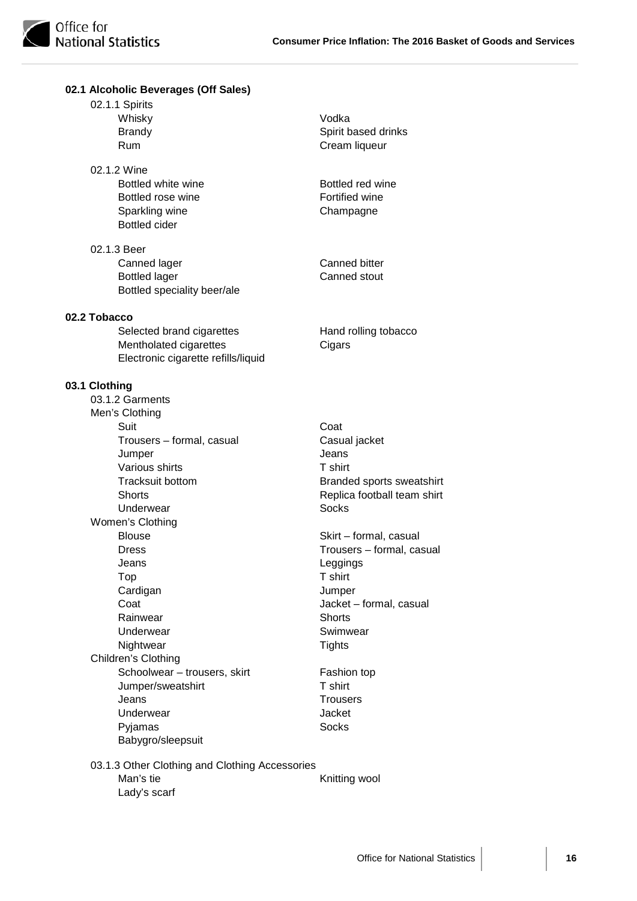**02.1 Alcoholic Beverages (Off Sales)**

| 02.1.1 Spirits<br>Whisky<br><b>Brandy</b><br>Rum                                                                                                                                                                                                                                                                                   | Vodka<br>Spirit based drinks<br>Cream liqueur                                                                                                                                                                                                                                          |
|------------------------------------------------------------------------------------------------------------------------------------------------------------------------------------------------------------------------------------------------------------------------------------------------------------------------------------|----------------------------------------------------------------------------------------------------------------------------------------------------------------------------------------------------------------------------------------------------------------------------------------|
| 02.1.2 Wine<br>Bottled white wine<br>Bottled rose wine<br>Sparkling wine<br><b>Bottled</b> cider                                                                                                                                                                                                                                   | Bottled red wine<br>Fortified wine<br>Champagne                                                                                                                                                                                                                                        |
| 02.1.3 Beer<br>Canned lager<br><b>Bottled lager</b><br>Bottled speciality beer/ale                                                                                                                                                                                                                                                 | Canned bitter<br>Canned stout                                                                                                                                                                                                                                                          |
| 02.2 Tobacco<br>Selected brand cigarettes<br>Mentholated cigarettes<br>Electronic cigarette refills/liquid                                                                                                                                                                                                                         | Hand rolling tobacco<br>Cigars                                                                                                                                                                                                                                                         |
| 03.1 Clothing<br>03.1.2 Garments<br>Men's Clothing<br>Suit<br>Trousers - formal, casual<br>Jumper<br>Various shirts<br><b>Tracksuit bottom</b><br><b>Shorts</b><br>Underwear<br>Women's Clothing<br><b>Blouse</b><br><b>Dress</b><br>Jeans<br>Top<br>Cardigan<br>Coat<br>Rainwear<br>Underwear<br>Nightwear<br>Children's Clothing | Coat<br>Casual jacket<br>Jeans<br>T shirt<br>Branded sports sweatshirt<br>Replica football team shirt<br><b>Socks</b><br>Skirt - formal, casual<br>Trousers - formal, casual<br>Leggings<br>T shirt<br>Jumper<br>Jacket - formal, casual<br><b>Shorts</b><br>Swimwear<br><b>Tights</b> |
| Schoolwear - trousers, skirt<br>Jumper/sweatshirt<br>Jeans<br>Underwear<br>Pyjamas<br>Babygro/sleepsuit                                                                                                                                                                                                                            | Fashion top<br>T shirt<br><b>Trousers</b><br>Jacket<br>Socks                                                                                                                                                                                                                           |
| 03.1.3 Other Clothing and Clothing Accessories<br>Man's tie<br>Lady's scarf                                                                                                                                                                                                                                                        | Knitting wool                                                                                                                                                                                                                                                                          |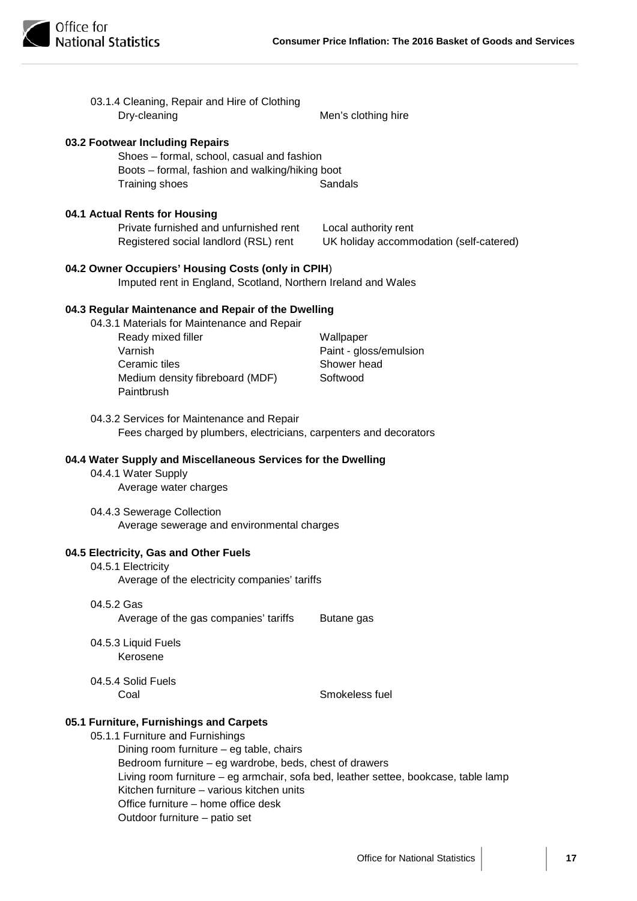

| 03.1.4 Cleaning, Repair and Hire of Clothing<br>Dry-cleaning                                                                                                                                                                                                                                                                                                                                                                                                                                                                                                                                                                          | Men's clothing hire                                                                                                 |
|---------------------------------------------------------------------------------------------------------------------------------------------------------------------------------------------------------------------------------------------------------------------------------------------------------------------------------------------------------------------------------------------------------------------------------------------------------------------------------------------------------------------------------------------------------------------------------------------------------------------------------------|---------------------------------------------------------------------------------------------------------------------|
| 03.2 Footwear Including Repairs<br>Shoes - formal, school, casual and fashion<br>Boots - formal, fashion and walking/hiking boot<br>Training shoes                                                                                                                                                                                                                                                                                                                                                                                                                                                                                    | Sandals                                                                                                             |
| 04.1 Actual Rents for Housing<br>Private furnished and unfurnished rent<br>Registered social landlord (RSL) rent                                                                                                                                                                                                                                                                                                                                                                                                                                                                                                                      | Local authority rent<br>UK holiday accommodation (self-catered)                                                     |
| 04.2 Owner Occupiers' Housing Costs (only in CPIH)<br>Imputed rent in England, Scotland, Northern Ireland and Wales                                                                                                                                                                                                                                                                                                                                                                                                                                                                                                                   |                                                                                                                     |
| 04.3 Regular Maintenance and Repair of the Dwelling<br>04.3.1 Materials for Maintenance and Repair<br>Ready mixed filler<br>Varnish<br>Ceramic tiles<br>Medium density fibreboard (MDF)<br>Paintbrush<br>04.3.2 Services for Maintenance and Repair<br>Fees charged by plumbers, electricians, carpenters and decorators<br>04.4 Water Supply and Miscellaneous Services for the Dwelling<br>04.4.1 Water Supply<br>Average water charges<br>04.4.3 Sewerage Collection<br>Average sewerage and environmental charges<br>04.5 Electricity, Gas and Other Fuels<br>04.5.1 Electricity<br>Average of the electricity companies' tariffs | Wallpaper<br>Paint - gloss/emulsion<br>Shower head<br>Softwood                                                      |
| 04.5.2 Gas<br>Average of the gas companies' tariffs<br>04.5.3 Liquid Fuels<br>Kerosene<br>04.5.4 Solid Fuels<br>Coal<br>05.1 Furniture, Furnishings and Carpets<br>05.1.1 Furniture and Furnishings<br>Dining room furniture - eg table, chairs<br>Bedroom furniture - eg wardrobe, beds, chest of drawers                                                                                                                                                                                                                                                                                                                            | Butane gas<br>Smokeless fuel<br>Living room furniture - eg armchair, sofa bed, leather settee, bookcase, table lamp |
| Kitchen furniture - various kitchen units<br>Office furniture - home office desk<br>Outdoor furniture - patio set                                                                                                                                                                                                                                                                                                                                                                                                                                                                                                                     |                                                                                                                     |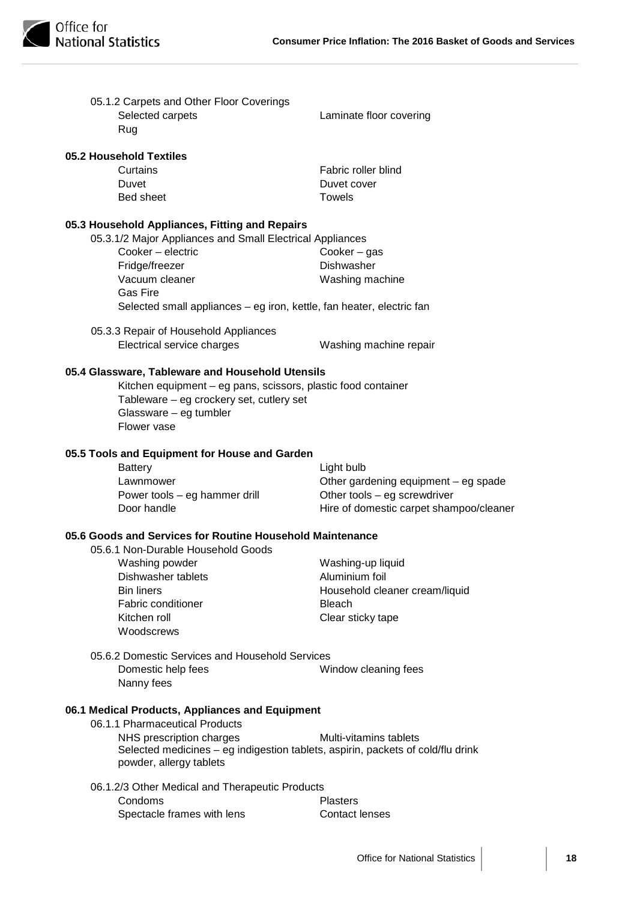| 05.1.2 Carpets and Other Floor Coverings<br>Selected carpets<br>Rug                                                                                                                                    | Laminate floor covering                 |
|--------------------------------------------------------------------------------------------------------------------------------------------------------------------------------------------------------|-----------------------------------------|
| 05.2 Household Textiles                                                                                                                                                                                |                                         |
| Curtains                                                                                                                                                                                               | Fabric roller blind                     |
| Duvet                                                                                                                                                                                                  | Duvet cover                             |
| Bed sheet                                                                                                                                                                                              | <b>Towels</b>                           |
| 05.3 Household Appliances, Fitting and Repairs                                                                                                                                                         |                                         |
| 05.3.1/2 Major Appliances and Small Electrical Appliances                                                                                                                                              |                                         |
| Cooker - electric                                                                                                                                                                                      | Cooker $-$ gas                          |
| Fridge/freezer                                                                                                                                                                                         | <b>Dishwasher</b>                       |
| Vacuum cleaner                                                                                                                                                                                         | Washing machine                         |
| <b>Gas Fire</b>                                                                                                                                                                                        |                                         |
| Selected small appliances – eg iron, kettle, fan heater, electric fan                                                                                                                                  |                                         |
| 05.3.3 Repair of Household Appliances                                                                                                                                                                  |                                         |
| Electrical service charges                                                                                                                                                                             | Washing machine repair                  |
| 05.4 Glassware, Tableware and Household Utensils<br>Kitchen equipment - eg pans, scissors, plastic food container<br>Tableware – eg crockery set, cutlery set<br>Glassware - eg tumbler<br>Flower vase |                                         |
| 05.5 Tools and Equipment for House and Garden                                                                                                                                                          |                                         |
| <b>Battery</b>                                                                                                                                                                                         | Light bulb                              |
| Lawnmower                                                                                                                                                                                              | Other gardening equipment - eg spade    |
| Power tools – eg hammer drill                                                                                                                                                                          | Other tools - eg screwdriver            |
| Door handle                                                                                                                                                                                            | Hire of domestic carpet shampoo/cleaner |
| 05.6 Goods and Services for Routine Household Maintenance                                                                                                                                              |                                         |
| 05.6.1 Non-Durable Household Goods                                                                                                                                                                     |                                         |
| Washing powder                                                                                                                                                                                         | Washing-up liquid                       |
| Dishwasher tablets                                                                                                                                                                                     | Aluminium foil                          |
| <b>Bin liners</b>                                                                                                                                                                                      | Household cleaner cream/liquid          |
| <b>Fabric conditioner</b>                                                                                                                                                                              | <b>Bleach</b>                           |
| Kitchen roll                                                                                                                                                                                           | Clear sticky tape                       |
| Woodscrews                                                                                                                                                                                             |                                         |
| 05.6.2 Domestic Services and Household Services                                                                                                                                                        |                                         |
| Domestic help fees                                                                                                                                                                                     | Window cleaning fees                    |
| Nanny fees                                                                                                                                                                                             |                                         |
| 06.1 Medical Products, Appliances and Equipment<br>06.1.1 Pharmaceutical Products                                                                                                                      |                                         |
| NHS prescription charges                                                                                                                                                                               | Multi-vitamins tablets                  |
| Selected medicines - eg indigestion tablets, aspirin, packets of cold/flu drink<br>powder, allergy tablets                                                                                             |                                         |
| 06.1.2/3 Other Medical and Therapeutic Products                                                                                                                                                        |                                         |
| Condoms                                                                                                                                                                                                | <b>Plasters</b>                         |
| Spectacle frames with lens                                                                                                                                                                             | <b>Contact lenses</b>                   |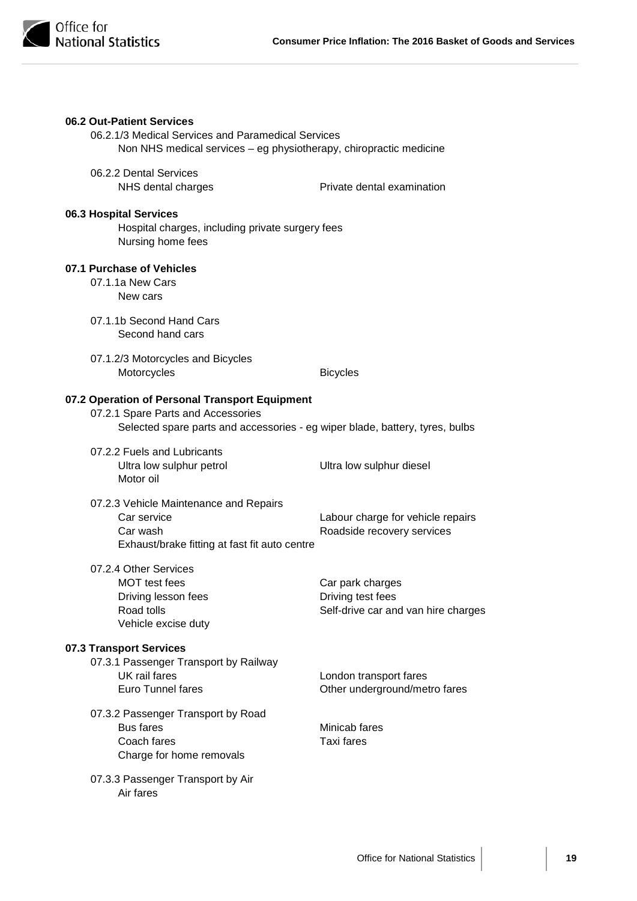

| 06.2 Out-Patient Services<br>06.2.1/3 Medical Services and Paramedical Services<br>Non NHS medical services – eg physiotherapy, chiropractic medicine                |                                                                              |  |
|----------------------------------------------------------------------------------------------------------------------------------------------------------------------|------------------------------------------------------------------------------|--|
| 06.2.2 Dental Services<br>NHS dental charges                                                                                                                         | Private dental examination                                                   |  |
| 06.3 Hospital Services<br>Hospital charges, including private surgery fees<br>Nursing home fees                                                                      |                                                                              |  |
| 07.1 Purchase of Vehicles<br>07.1.1a New Cars<br>New cars                                                                                                            |                                                                              |  |
| 07.1.1b Second Hand Cars<br>Second hand cars                                                                                                                         |                                                                              |  |
| 07.1.2/3 Motorcycles and Bicycles<br>Motorcycles                                                                                                                     | <b>Bicycles</b>                                                              |  |
| 07.2 Operation of Personal Transport Equipment<br>07.2.1 Spare Parts and Accessories<br>Selected spare parts and accessories - eg wiper blade, battery, tyres, bulbs |                                                                              |  |
| 07.2.2 Fuels and Lubricants<br>Ultra low sulphur petrol<br>Motor oil                                                                                                 | Ultra low sulphur diesel                                                     |  |
| 07.2.3 Vehicle Maintenance and Repairs<br>Car service<br>Car wash<br>Exhaust/brake fitting at fast fit auto centre                                                   | Labour charge for vehicle repairs<br>Roadside recovery services              |  |
| 07.2.4 Other Services<br>MOT test fees<br>Driving lesson fees<br>Road tolls<br>Vehicle excise duty                                                                   | Car park charges<br>Driving test fees<br>Self-drive car and van hire charges |  |
| 07.3 Transport Services<br>07.3.1 Passenger Transport by Railway<br>UK rail fares<br><b>Euro Tunnel fares</b>                                                        | London transport fares<br>Other underground/metro fares                      |  |
| 07.3.2 Passenger Transport by Road<br><b>Bus fares</b><br>Coach fares<br>Charge for home removals                                                                    | Minicab fares<br>Taxi fares                                                  |  |
| 07.3.3 Passenger Transport by Air<br>Air fares                                                                                                                       |                                                                              |  |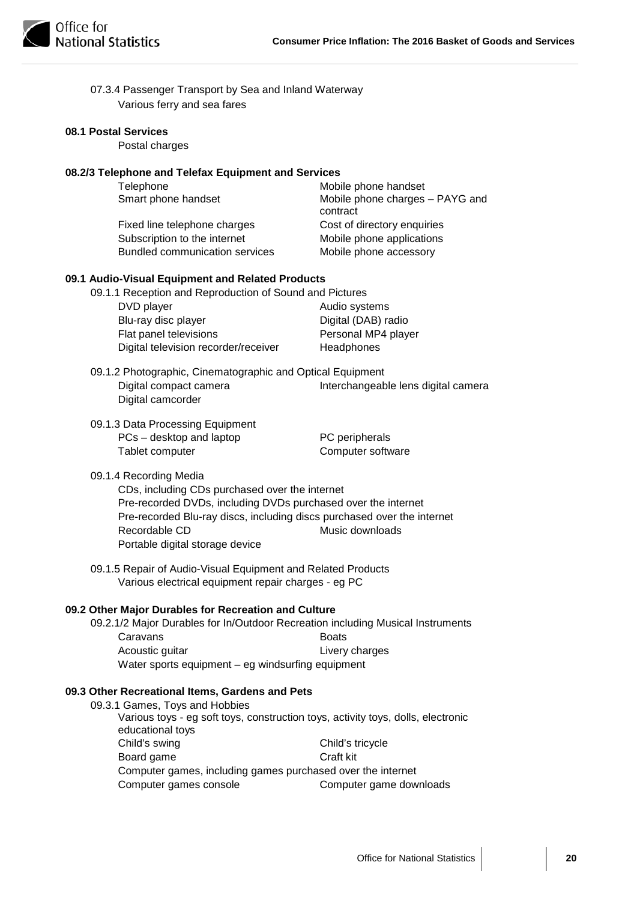| 07.3.4 Passenger Transport by Sea and Inland Waterway |
|-------------------------------------------------------|
| Various ferry and sea fares                           |

#### **08.1 Postal Services**

Postal charges

#### **08.2/3 Telephone and Telefax Equipment and Services**

| Telephone                             | Mobile phone handset                        |
|---------------------------------------|---------------------------------------------|
| Smart phone handset                   | Mobile phone charges - PAYG and<br>contract |
| Fixed line telephone charges          | Cost of directory enquiries                 |
| Subscription to the internet          | Mobile phone applications                   |
| <b>Bundled communication services</b> | Mobile phone accessory                      |

#### **09.1 Audio-Visual Equipment and Related Products**

| 09.1.1 Reception and Reproduction of Sound and Pictures |                     |
|---------------------------------------------------------|---------------------|
| DVD player                                              | Audio systems       |
| Blu-ray disc player                                     | Digital (DAB) radio |
| Flat panel televisions                                  | Personal MP4 player |
| Digital television recorder/receiver                    | Headphones          |

- 09.1.2 Photographic, Cinematographic and Optical Equipment Digital compact camera **Interchangeable lens digital camera** Digital camcorder
- 09.1.3 Data Processing Equipment PCs – desktop and laptop PC peripherals Tablet computer **Computer** Computer software

#### 09.1.4 Recording Media

CDs, including CDs purchased over the internet Pre-recorded DVDs, including DVDs purchased over the internet Pre-recorded Blu-ray discs, including discs purchased over the internet Recordable CD Music downloads Portable digital storage device

09.1.5 Repair of Audio-Visual Equipment and Related Products Various electrical equipment repair charges - eg PC

#### **09.2 Other Major Durables for Recreation and Culture**

09.2.1/2 Major Durables for In/Outdoor Recreation including Musical Instruments Caravans **Boats** Acoustic guitar **Livery charges** Water sports equipment – eg windsurfing equipment

#### **09.3 Other Recreational Items, Gardens and Pets**

09.3.1 Games, Toys and Hobbies Various toys - eg soft toys, construction toys, activity toys, dolls, electronic educational toys Child's swing Child's tricycle Board game Craft kit Computer games, including games purchased over the internet Computer games console Computer game downloads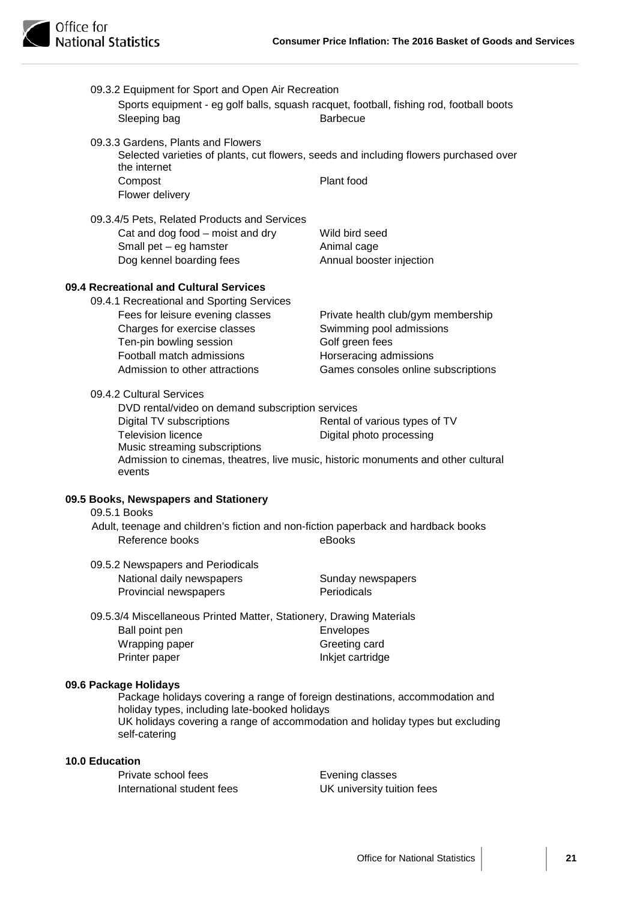| Sleeping bag               | 09.3.2 Equipment for Sport and Open Air Recreation                   | Sports equipment - eg golf balls, squash racquet, football, fishing rod, football boots<br><b>Barbecue</b>    |
|----------------------------|----------------------------------------------------------------------|---------------------------------------------------------------------------------------------------------------|
| the internet               | 09.3.3 Gardens, Plants and Flowers                                   | Selected varieties of plants, cut flowers, seeds and including flowers purchased over                         |
| Compost<br>Flower delivery |                                                                      | Plant food                                                                                                    |
|                            | 09.3.4/5 Pets, Related Products and Services                         |                                                                                                               |
|                            | Cat and dog food - moist and dry                                     | Wild bird seed                                                                                                |
|                            | Small pet - eg hamster                                               | Animal cage                                                                                                   |
|                            | Dog kennel boarding fees                                             | Annual booster injection                                                                                      |
|                            | 09.4 Recreational and Cultural Services                              |                                                                                                               |
|                            | 09.4.1 Recreational and Sporting Services                            |                                                                                                               |
|                            | Fees for leisure evening classes                                     | Private health club/gym membership                                                                            |
|                            | Charges for exercise classes                                         | Swimming pool admissions                                                                                      |
|                            | Ten-pin bowling session                                              | Golf green fees                                                                                               |
|                            | Football match admissions                                            | Horseracing admissions                                                                                        |
|                            | Admission to other attractions                                       | Games consoles online subscriptions                                                                           |
| 09.4.2 Cultural Services   |                                                                      |                                                                                                               |
|                            | DVD rental/video on demand subscription services                     |                                                                                                               |
|                            | Digital TV subscriptions                                             | Rental of various types of TV                                                                                 |
|                            | <b>Television licence</b><br>Music streaming subscriptions           | Digital photo processing<br>Admission to cinemas, theatres, live music, historic monuments and other cultural |
| events                     |                                                                      |                                                                                                               |
|                            | 09.5 Books, Newspapers and Stationery                                |                                                                                                               |
| 09.5.1 Books               |                                                                      |                                                                                                               |
|                            | Reference books                                                      | Adult, teenage and children's fiction and non-fiction paperback and hardback books<br>eBooks                  |
|                            | 09.5.2 Newspapers and Periodicals                                    |                                                                                                               |
|                            | National daily newspapers                                            | Sunday newspapers                                                                                             |
|                            | Provincial newspapers                                                | Periodicals                                                                                                   |
|                            | 09.5.3/4 Miscellaneous Printed Matter, Stationery, Drawing Materials |                                                                                                               |
| Ball point pen             |                                                                      | Envelopes                                                                                                     |
| Wrapping paper             |                                                                      | Greeting card                                                                                                 |
| Printer paper              |                                                                      | Inkjet cartridge                                                                                              |
| 09.6 Package Holidays      |                                                                      |                                                                                                               |
|                            | holiday types, including late-booked holidays                        | Package holidays covering a range of foreign destinations, accommodation and                                  |
| self-catering              |                                                                      | UK holidays covering a range of accommodation and holiday types but excluding                                 |
| <b>10.0 Education</b>      |                                                                      |                                                                                                               |
|                            | Private school fees                                                  | Evening classes                                                                                               |
|                            | International student fees                                           | UK university tuition fees                                                                                    |
|                            |                                                                      |                                                                                                               |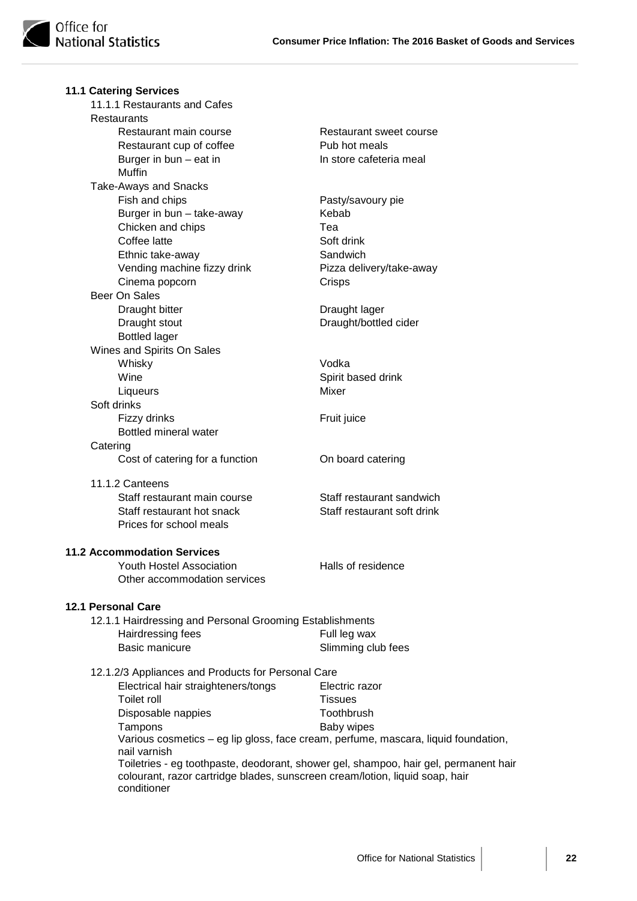|          | <b>11.1 Catering Services</b>                                                      |                                                                                      |
|----------|------------------------------------------------------------------------------------|--------------------------------------------------------------------------------------|
|          | 11.1.1 Restaurants and Cafes                                                       |                                                                                      |
|          | <b>Restaurants</b>                                                                 |                                                                                      |
|          | Restaurant main course                                                             | Restaurant sweet course                                                              |
|          | Restaurant cup of coffee                                                           | Pub hot meals                                                                        |
|          | Burger in $bun - eat$ in<br>Muffin                                                 | In store cafeteria meal                                                              |
|          | <b>Take-Aways and Snacks</b>                                                       |                                                                                      |
|          | Fish and chips                                                                     | Pasty/savoury pie                                                                    |
|          | Burger in bun - take-away                                                          | Kebab                                                                                |
|          | Chicken and chips                                                                  | Теа                                                                                  |
|          | Coffee latte                                                                       | Soft drink                                                                           |
|          | Ethnic take-away                                                                   | Sandwich                                                                             |
|          | Vending machine fizzy drink                                                        | Pizza delivery/take-away                                                             |
|          | Cinema popcorn                                                                     | Crisps                                                                               |
|          | Beer On Sales                                                                      |                                                                                      |
|          | Draught bitter                                                                     | Draught lager                                                                        |
|          | Draught stout                                                                      | Draught/bottled cider                                                                |
|          | <b>Bottled lager</b>                                                               |                                                                                      |
|          | Wines and Spirits On Sales                                                         |                                                                                      |
|          | Whisky                                                                             | Vodka                                                                                |
|          | Wine                                                                               | Spirit based drink                                                                   |
|          | Liqueurs                                                                           | Mixer                                                                                |
|          | Soft drinks                                                                        |                                                                                      |
|          | Fizzy drinks                                                                       | Fruit juice                                                                          |
|          | Bottled mineral water                                                              |                                                                                      |
| Catering |                                                                                    |                                                                                      |
|          | Cost of catering for a function                                                    | On board catering                                                                    |
|          | 11.1.2 Canteens                                                                    |                                                                                      |
|          | Staff restaurant main course                                                       | Staff restaurant sandwich                                                            |
|          | Staff restaurant hot snack                                                         | Staff restaurant soft drink                                                          |
|          | Prices for school meals                                                            |                                                                                      |
|          | <b>11.2 Accommodation Services</b>                                                 |                                                                                      |
|          | Youth Hostel Association                                                           | Halls of residence                                                                   |
|          | Other accommodation services                                                       |                                                                                      |
|          | <b>12.1 Personal Care</b>                                                          |                                                                                      |
|          | 12.1.1 Hairdressing and Personal Grooming Establishments                           |                                                                                      |
|          | Hairdressing fees                                                                  | Full leg wax                                                                         |
|          | <b>Basic manicure</b>                                                              | Slimming club fees                                                                   |
|          | 12.1.2/3 Appliances and Products for Personal Care                                 |                                                                                      |
|          | Electrical hair straighteners/tongs                                                | Electric razor                                                                       |
|          | <b>Toilet roll</b>                                                                 | <b>Tissues</b>                                                                       |
|          | Disposable nappies                                                                 | Toothbrush                                                                           |
|          | Tampons                                                                            | Baby wipes                                                                           |
|          | Various cosmetics - eg lip gloss, face cream, perfume, mascara, liquid foundation, |                                                                                      |
|          | nail varnish                                                                       |                                                                                      |
|          |                                                                                    | Toiletries - eg toothpaste, deodorant, shower gel, shampoo, hair gel, permanent hair |
|          | colourant, razor cartridge blades, sunscreen cream/lotion, liquid soap, hair       |                                                                                      |
|          | conditioner                                                                        |                                                                                      |
|          |                                                                                    |                                                                                      |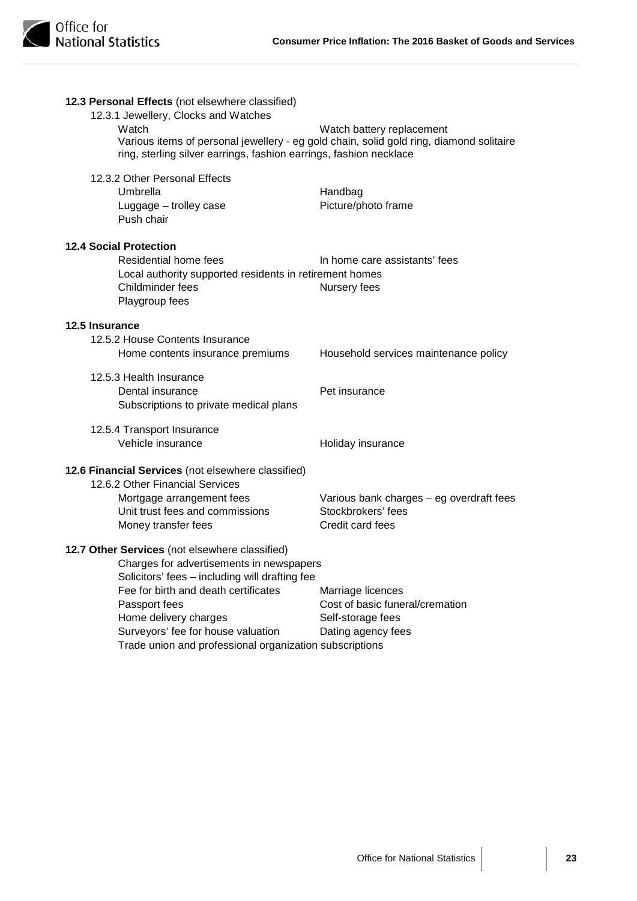| 12.3 Personal Effects (not elsewhere classified)<br>12.3.1 Jewellery, Clocks and Watches<br>Watch | Watch battery replacement                                                               |
|---------------------------------------------------------------------------------------------------|-----------------------------------------------------------------------------------------|
| ring, sterling silver earrings, fashion earrings, fashion necklace                                | Various items of personal jewellery - eg gold chain, solid gold ring, diamond solitaire |
| 12.3.2 Other Personal Effects                                                                     |                                                                                         |
| Umbrella                                                                                          | Handbag                                                                                 |
| Luggage - trolley case<br>Push chair                                                              | Picture/photo frame                                                                     |
| <b>12.4 Social Protection</b>                                                                     |                                                                                         |
| Residential home fees                                                                             | In home care assistants' fees                                                           |
| Local authority supported residents in retirement homes<br>Childminder fees                       | Nursery fees                                                                            |
| Playgroup fees                                                                                    |                                                                                         |
| 12.5 Insurance                                                                                    |                                                                                         |
| 12.5.2 House Contents Insurance                                                                   |                                                                                         |
| Home contents insurance premiums                                                                  | Household services maintenance policy                                                   |
| 12.5.3 Health Insurance                                                                           |                                                                                         |
| Dental insurance                                                                                  | Pet insurance                                                                           |
| Subscriptions to private medical plans                                                            |                                                                                         |
| 12.5.4 Transport Insurance                                                                        |                                                                                         |
| Vehicle insurance                                                                                 | Holiday insurance                                                                       |
| 12.6 Financial Services (not elsewhere classified)                                                |                                                                                         |
| 12.6.2 Other Financial Services                                                                   |                                                                                         |
| Mortgage arrangement fees                                                                         | Various bank charges - eg overdraft fees                                                |
| Unit trust fees and commissions                                                                   | Stockbrokers' fees<br>Credit card fees                                                  |
| Money transfer fees                                                                               |                                                                                         |
| 12.7 Other Services (not elsewhere classified)                                                    |                                                                                         |
| Charges for advertisements in newspapers                                                          |                                                                                         |
| Solicitors' fees - including will drafting fee                                                    |                                                                                         |
| Fee for birth and death certificates                                                              | Marriage licences                                                                       |
| Passport fees                                                                                     | Cost of basic funeral/cremation                                                         |
| Home delivery charges<br>Surveyors' fee for house valuation                                       | Self-storage fees<br>Dating agency fees                                                 |
| Trade union and professional organization subscriptions                                           |                                                                                         |
|                                                                                                   |                                                                                         |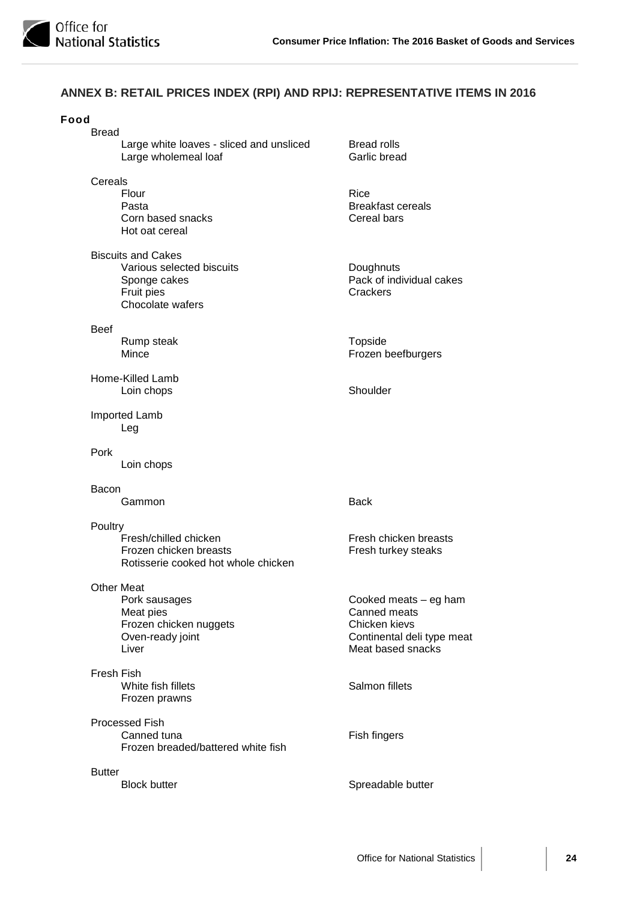

## **ANNEX B: RETAIL PRICES INDEX (RPI) AND RPIJ: REPRESENTATIVE ITEMS IN 2016**

| Food<br><b>Bread</b>                                                                                     |                                                                                                           |
|----------------------------------------------------------------------------------------------------------|-----------------------------------------------------------------------------------------------------------|
| Large white loaves - sliced and unsliced<br>Large wholemeal loaf                                         | <b>Bread rolls</b><br>Garlic bread                                                                        |
| Cereals<br>Flour<br>Pasta<br>Corn based snacks<br>Hot oat cereal                                         | <b>Rice</b><br><b>Breakfast cereals</b><br>Cereal bars                                                    |
| <b>Biscuits and Cakes</b><br>Various selected biscuits<br>Sponge cakes<br>Fruit pies<br>Chocolate wafers | Doughnuts<br>Pack of individual cakes<br>Crackers                                                         |
| <b>Beef</b><br>Rump steak<br>Mince                                                                       | Topside<br>Frozen beefburgers                                                                             |
| Home-Killed Lamb<br>Loin chops                                                                           | Shoulder                                                                                                  |
| Imported Lamb<br>Leg                                                                                     |                                                                                                           |
| Pork<br>Loin chops                                                                                       |                                                                                                           |
| Bacon                                                                                                    |                                                                                                           |
| Gammon                                                                                                   | <b>Back</b>                                                                                               |
| Poultry<br>Fresh/chilled chicken<br>Frozen chicken breasts<br>Rotisserie cooked hot whole chicken        | Fresh chicken breasts<br>Fresh turkey steaks                                                              |
| Other Meat<br>Pork sausages<br>Meat pies<br>Frozen chicken nuggets<br>Oven-ready joint<br>Liver          | Cooked meats - eg ham<br>Canned meats<br>Chicken kievs<br>Continental deli type meat<br>Meat based snacks |
| Fresh Fish<br>White fish fillets<br>Frozen prawns                                                        | Salmon fillets                                                                                            |
| <b>Processed Fish</b><br>Canned tuna<br>Frozen breaded/battered white fish                               | Fish fingers                                                                                              |
| <b>Butter</b><br><b>Block butter</b>                                                                     | Spreadable butter                                                                                         |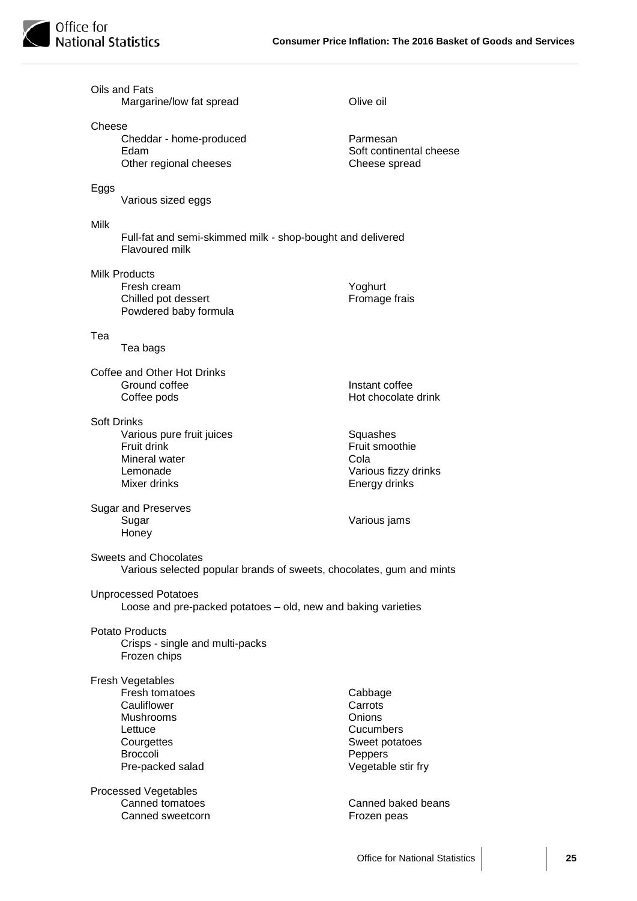

|                                                                                              | Oils and Fats<br>Margarine/low fat spread                                                                                             | Olive oil                                                                                    |
|----------------------------------------------------------------------------------------------|---------------------------------------------------------------------------------------------------------------------------------------|----------------------------------------------------------------------------------------------|
| Cheese                                                                                       | Cheddar - home-produced<br>Edam<br>Other regional cheeses                                                                             | Parmesan<br>Soft continental cheese<br>Cheese spread                                         |
| Eggs                                                                                         | Various sized eggs                                                                                                                    |                                                                                              |
| Milk                                                                                         | Full-fat and semi-skimmed milk - shop-bought and delivered<br>Flavoured milk                                                          |                                                                                              |
|                                                                                              | <b>Milk Products</b><br>Fresh cream<br>Chilled pot dessert<br>Powdered baby formula                                                   | Yoghurt<br>Fromage frais                                                                     |
| Tea                                                                                          | Tea bags                                                                                                                              |                                                                                              |
|                                                                                              | Coffee and Other Hot Drinks<br>Ground coffee<br>Coffee pods                                                                           | Instant coffee<br>Hot chocolate drink                                                        |
| <b>Soft Drinks</b>                                                                           | Various pure fruit juices<br>Fruit drink<br>Mineral water<br>Lemonade<br>Mixer drinks                                                 | Squashes<br>Fruit smoothie<br>Cola<br>Various fizzy drinks<br>Energy drinks                  |
|                                                                                              | <b>Sugar and Preserves</b><br>Sugar<br>Honey                                                                                          | Various jams                                                                                 |
|                                                                                              | Sweets and Chocolates<br>Various selected popular brands of sweets, chocolates, gum and mints                                         |                                                                                              |
| <b>Unprocessed Potatoes</b><br>Loose and pre-packed potatoes – old, new and baking varieties |                                                                                                                                       |                                                                                              |
|                                                                                              | <b>Potato Products</b><br>Crisps - single and multi-packs<br>Frozen chips                                                             |                                                                                              |
|                                                                                              | Fresh Vegetables<br>Fresh tomatoes<br>Cauliflower<br><b>Mushrooms</b><br>Lettuce<br>Courgettes<br><b>Broccoli</b><br>Pre-packed salad | Cabbage<br>Carrots<br>Onions<br>Cucumbers<br>Sweet potatoes<br>Peppers<br>Vegetable stir fry |
|                                                                                              | <b>Processed Vegetables</b><br>Canned tomatoes<br>Canned sweetcorn                                                                    | Canned baked beans<br>Frozen peas                                                            |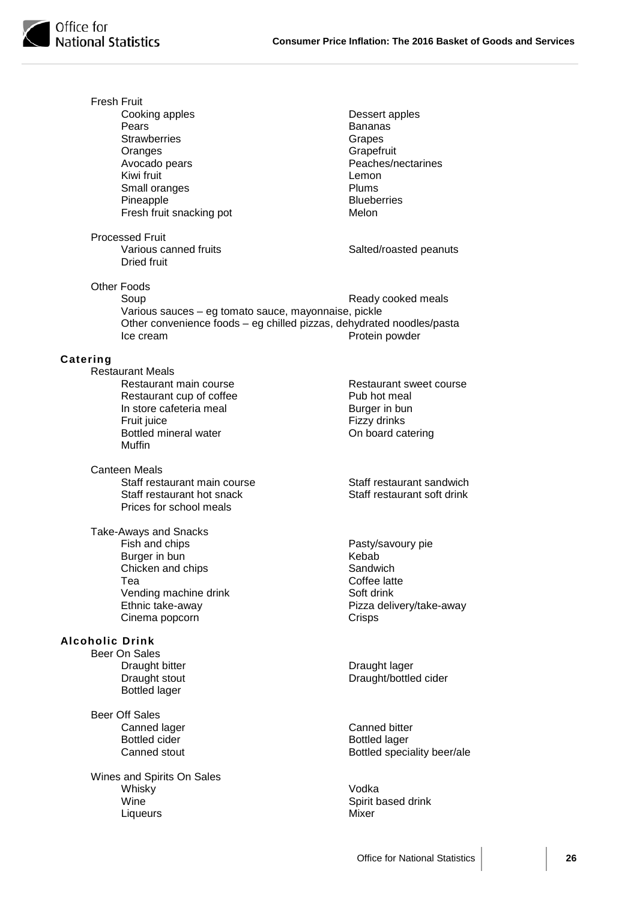

Fresh Fruit Cooking apples **Dessert apples**<br> **Pears**<br> **Dessert apples**<br> **Dessert apples Bananas** Strawberries Grapes Oranges Grapefruit<br>
Avocado pears<br>
Crapefruit Beaches/n Peaches/nectarines Kiwi fruit the control of the control of the control of the control of the control of the control of the control of the control of the control of the control of the control of the control of the control of the control of t Small oranges Pineapple Blueberries Fresh fruit snacking pot Melon Processed Fruit Various canned fruits Salted/roasted peanuts Dried fruit Other Foods Ready cooked meals Various sauces – eg tomato sauce, mayonnaise, pickle Other convenience foods – eg chilled pizzas, dehydrated noodles/pasta Ice cream **Protein powder Catering** Restaurant Meals Restaurant main course Restaurant sweet course Restaurant cup of coffee **Pub hot meal** In store cafeteria meal<br>
Fruit iuice<br>
Fizzy drinks Fruit juice<br>Bottled mineral water **Fix and Solution Conflict** Confloard ca On board catering Muffin Canteen Meals Staff restaurant main course Staff restaurant sandwich Staff restaurant hot snack Staff restaurant soft drink Prices for school meals Take-Aways and Snacks<br>Fish and chips Pasty/savoury pie<br>Kebab Burger in bun<br>Chicken and chips<br>Chicken and chips<br>Sandwich Chicken and chips Tea Coffee latte Vending machine drink<br>
Ethnic take-awav<br>
Pizza deli Pizza delivery/take-away Cinema popcorn Crisps **Alcoholic Drink** Beer On Sales Draught bitter **Draught lager** Draught lager Draught stout Draught/bottled cider Bottled lager Beer Off Sales Canned lager Canned bitter Bottled cider **Bottled** lager Canned stout **Bottled** speciality beer/ale Wines and Spirits On Sales Whisky Vodka Spirit based drink Liqueurs Mixer

Office for National Statistics **26**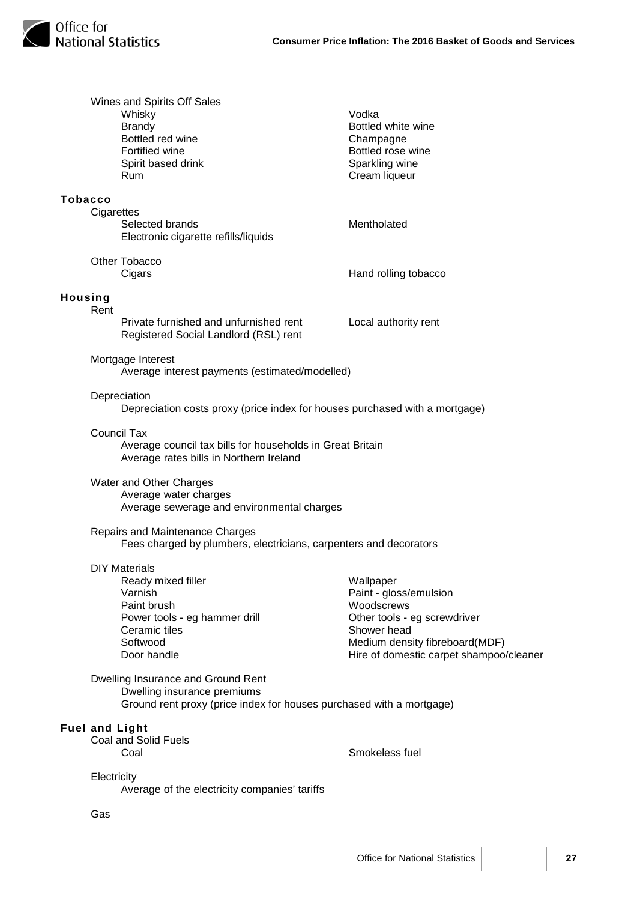|                | Wines and Spirits Off Sales<br>Whisky<br><b>Brandy</b><br>Bottled red wine<br>Fortified wine<br>Spirit based drink<br>Rum                         | Vodka<br>Bottled white wine<br>Champagne<br>Bottled rose wine<br>Sparkling wine<br>Cream liqueur                                                                              |
|----------------|---------------------------------------------------------------------------------------------------------------------------------------------------|-------------------------------------------------------------------------------------------------------------------------------------------------------------------------------|
| <b>Tobacco</b> |                                                                                                                                                   |                                                                                                                                                                               |
|                | Cigarettes<br>Selected brands<br>Electronic cigarette refills/liquids                                                                             | Mentholated                                                                                                                                                                   |
|                | Other Tobacco<br>Cigars                                                                                                                           | Hand rolling tobacco                                                                                                                                                          |
| Housing        | Rent                                                                                                                                              |                                                                                                                                                                               |
|                | Private furnished and unfurnished rent<br>Registered Social Landlord (RSL) rent                                                                   | Local authority rent                                                                                                                                                          |
|                | Mortgage Interest<br>Average interest payments (estimated/modelled)                                                                               |                                                                                                                                                                               |
|                | Depreciation<br>Depreciation costs proxy (price index for houses purchased with a mortgage)                                                       |                                                                                                                                                                               |
|                | <b>Council Tax</b><br>Average council tax bills for households in Great Britain<br>Average rates bills in Northern Ireland                        |                                                                                                                                                                               |
|                | Water and Other Charges<br>Average water charges<br>Average sewerage and environmental charges                                                    |                                                                                                                                                                               |
|                | Repairs and Maintenance Charges<br>Fees charged by plumbers, electricians, carpenters and decorators                                              |                                                                                                                                                                               |
|                | <b>DIY Materials</b><br>Ready mixed filler<br>Varnish<br>Paint brush<br>Power tools - eg hammer drill<br>Ceramic tiles<br>Softwood<br>Door handle | Wallpaper<br>Paint - gloss/emulsion<br>Woodscrews<br>Other tools - eg screwdriver<br>Shower head<br>Medium density fibreboard(MDF)<br>Hire of domestic carpet shampoo/cleaner |
|                | Dwelling Insurance and Ground Rent<br>Dwelling insurance premiums<br>Ground rent proxy (price index for houses purchased with a mortgage)         |                                                                                                                                                                               |
|                |                                                                                                                                                   |                                                                                                                                                                               |
|                | <b>Fuel and Light</b><br><b>Coal and Solid Fuels</b><br>Coal                                                                                      | Smokeless fuel                                                                                                                                                                |
|                | Electricity<br>Average of the electricity companies' tariffs                                                                                      |                                                                                                                                                                               |

Gas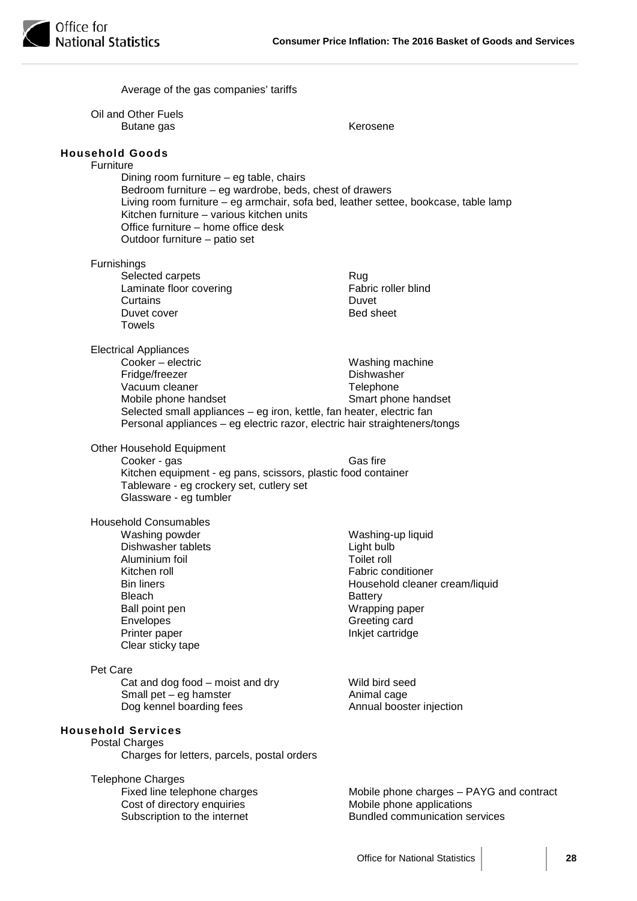|           | Average of the gas companies' tariffs                                                                                                                                                                                                                                                                                                     |                                                                                                                                                                                        |
|-----------|-------------------------------------------------------------------------------------------------------------------------------------------------------------------------------------------------------------------------------------------------------------------------------------------------------------------------------------------|----------------------------------------------------------------------------------------------------------------------------------------------------------------------------------------|
|           | Oil and Other Fuels<br>Butane gas                                                                                                                                                                                                                                                                                                         | Kerosene                                                                                                                                                                               |
| Furniture | <b>Household Goods</b><br>Dining room furniture - eg table, chairs<br>Bedroom furniture - eg wardrobe, beds, chest of drawers<br>Living room furniture - eg armchair, sofa bed, leather settee, bookcase, table lamp<br>Kitchen furniture – various kitchen units<br>Office furniture – home office desk<br>Outdoor furniture – patio set |                                                                                                                                                                                        |
|           | Furnishings<br>Selected carpets<br>Laminate floor covering<br>Curtains<br>Duvet cover<br><b>Towels</b>                                                                                                                                                                                                                                    | Rug<br>Fabric roller blind<br>Duvet<br><b>Bed sheet</b>                                                                                                                                |
|           | <b>Electrical Appliances</b><br>Cooker - electric<br>Fridge/freezer<br>Vacuum cleaner<br>Mobile phone handset<br>Selected small appliances - eg iron, kettle, fan heater, electric fan<br>Personal appliances - eg electric razor, electric hair straighteners/tongs                                                                      | Washing machine<br>Dishwasher<br>Telephone<br>Smart phone handset                                                                                                                      |
|           | Other Household Equipment<br>Cooker - gas<br>Kitchen equipment - eg pans, scissors, plastic food container<br>Tableware - eg crockery set, cutlery set<br>Glassware - eg tumbler                                                                                                                                                          | Gas fire                                                                                                                                                                               |
|           | <b>Household Consumables</b><br>Washing powder<br>Dishwasher tablets<br>Aluminium foil<br>Kitchen roll<br><b>Bin liners</b><br><b>Bleach</b><br>Ball point pen<br>Envelopes<br>Printer paper<br>Clear sticky tape                                                                                                                         | Washing-up liquid<br>Light bulb<br><b>Toilet roll</b><br>Fabric conditioner<br>Household cleaner cream/liquid<br><b>Battery</b><br>Wrapping paper<br>Greeting card<br>Inkjet cartridge |
| Pet Care  | Cat and dog food $-$ moist and dry<br>Small pet $-$ eg hamster<br>Dog kennel boarding fees                                                                                                                                                                                                                                                | Wild bird seed<br>Animal cage<br>Annual booster injection                                                                                                                              |
|           | <b>Household Services</b><br><b>Postal Charges</b><br>Charges for letters, parcels, postal orders                                                                                                                                                                                                                                         |                                                                                                                                                                                        |
|           | <b>Telephone Charges</b><br>Fixed line telephone charges<br>Cost of directory enquiries<br>Subscription to the internet                                                                                                                                                                                                                   | Mobile phone charges - PAYG and contract<br>Mobile phone applications<br><b>Bundled communication services</b>                                                                         |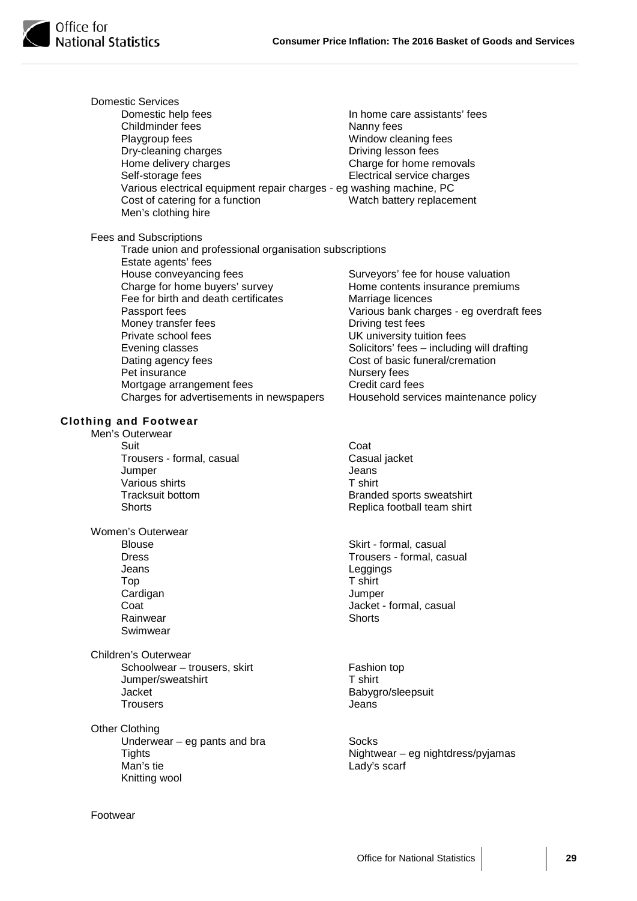| <b>Domestic Services</b>                                             |                                            |
|----------------------------------------------------------------------|--------------------------------------------|
| Domestic help fees                                                   | In home care assistants' fees              |
| Childminder fees                                                     | Nanny fees                                 |
| Playgroup fees                                                       | Window cleaning fees                       |
| Dry-cleaning charges                                                 | Driving lesson fees                        |
| Home delivery charges                                                | Charge for home removals                   |
| Self-storage fees                                                    | Electrical service charges                 |
| Various electrical equipment repair charges - eg washing machine, PC |                                            |
| Cost of catering for a function                                      | Watch battery replacement                  |
| Men's clothing hire                                                  |                                            |
| Fees and Subscriptions                                               |                                            |
| Trade union and professional organisation subscriptions              |                                            |
| Estate agents' fees                                                  |                                            |
| House conveyancing fees                                              | Surveyors' fee for house valuation         |
| Charge for home buyers' survey                                       | Home contents insurance premiums           |
| Fee for birth and death certificates                                 | Marriage licences                          |
| Passport fees                                                        | Various bank charges - eg overdraft fees   |
| Money transfer fees                                                  | Driving test fees                          |
| Private school fees                                                  | UK university tuition fees                 |
| Evening classes                                                      | Solicitors' fees - including will drafting |
| Dating agency fees                                                   | Cost of basic funeral/cremation            |
| Pet insurance                                                        | Nursery fees                               |
| Mortgage arrangement fees                                            | Credit card fees                           |
| Charges for advertisements in newspapers                             | Household services maintenance policy      |
| <b>Clothing and Footwear</b>                                         |                                            |
| Men's Outerwear                                                      |                                            |
| Suit                                                                 | Coat                                       |
| Trousers - formal, casual                                            | Casual jacket                              |
| Jumper                                                               | Jeans                                      |
| Various shirts                                                       | T shirt                                    |
| <b>Tracksuit bottom</b>                                              | Branded sports sweatshirt                  |
| <b>Shorts</b>                                                        | Replica football team shirt                |
| Women's Outerwear                                                    |                                            |
| <b>Blouse</b>                                                        | Skirt - formal, casual                     |
| <b>Dress</b>                                                         | Trousers - formal, casual                  |
| Jeans                                                                | Leggings                                   |
| Top                                                                  | T shirt                                    |
| Cardigan                                                             | Jumper                                     |
| Coat                                                                 | Jacket - formal, casual                    |
| Rainwear                                                             | <b>Shorts</b>                              |
| Swimwear                                                             |                                            |
| Children's Outerwear                                                 |                                            |
| Schoolwear - trousers, skirt                                         | Fashion top                                |
| Jumper/sweatshirt                                                    | T shirt                                    |
| Jacket                                                               | Babygro/sleepsuit                          |
| <b>Trousers</b>                                                      | Jeans                                      |
| <b>Other Clothing</b>                                                |                                            |
| Underwear $-$ eg pants and bra                                       | Socks                                      |
| <b>Tights</b>                                                        | Nightwear - eg nightdress/pyjamas          |
| Man's tie                                                            | Lady's scarf                               |
| Knitting wool                                                        |                                            |
|                                                                      |                                            |
| Footwear                                                             |                                            |
|                                                                      |                                            |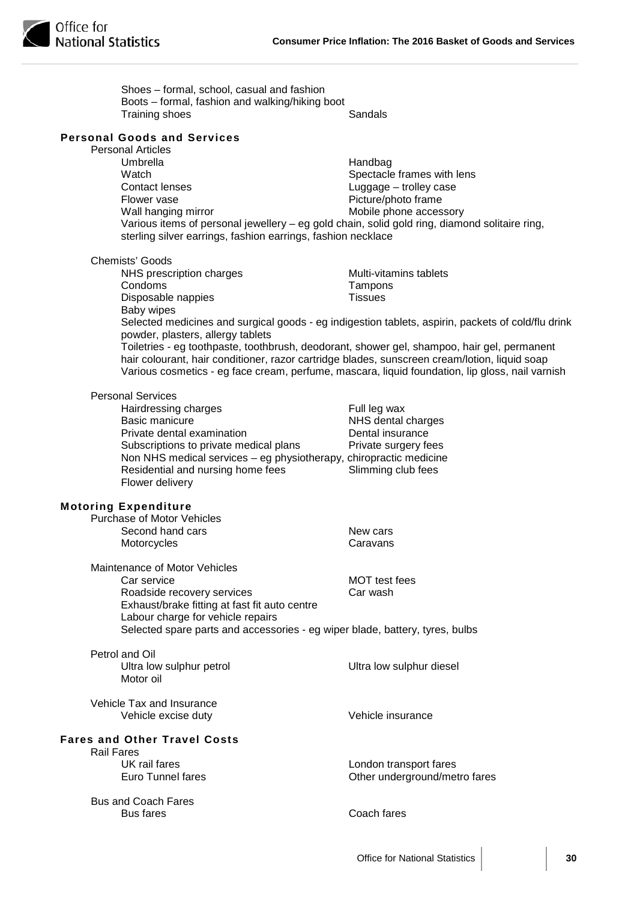| Shoes - formal, school, casual and fashion<br>Boots - formal, fashion and walking/hiking boot<br>Training shoes                                                                                                                                                        | Sandals                                                                                                                                                                                               |
|------------------------------------------------------------------------------------------------------------------------------------------------------------------------------------------------------------------------------------------------------------------------|-------------------------------------------------------------------------------------------------------------------------------------------------------------------------------------------------------|
| <b>Personal Goods and Services</b>                                                                                                                                                                                                                                     |                                                                                                                                                                                                       |
| <b>Personal Articles</b><br>Umbrella<br>Watch<br>Contact lenses<br>Flower vase<br>Wall hanging mirror<br>Various items of personal jewellery - eg gold chain, solid gold ring, diamond solitaire ring,<br>sterling silver earrings, fashion earrings, fashion necklace | Handbag<br>Spectacle frames with lens<br>Luggage - trolley case<br>Picture/photo frame<br>Mobile phone accessory                                                                                      |
| <b>Chemists' Goods</b>                                                                                                                                                                                                                                                 |                                                                                                                                                                                                       |
| NHS prescription charges<br>Condoms                                                                                                                                                                                                                                    | Multi-vitamins tablets<br>Tampons                                                                                                                                                                     |
| Disposable nappies                                                                                                                                                                                                                                                     | <b>Tissues</b>                                                                                                                                                                                        |
| Baby wipes                                                                                                                                                                                                                                                             |                                                                                                                                                                                                       |
| powder, plasters, allergy tablets<br>Toiletries - eg toothpaste, toothbrush, deodorant, shower gel, shampoo, hair gel, permanent<br>hair colourant, hair conditioner, razor cartridge blades, sunscreen cream/lotion, liquid soap                                      | Selected medicines and surgical goods - eg indigestion tablets, aspirin, packets of cold/flu drink<br>Various cosmetics - eg face cream, perfume, mascara, liquid foundation, lip gloss, nail varnish |
| <b>Personal Services</b>                                                                                                                                                                                                                                               |                                                                                                                                                                                                       |
| Hairdressing charges                                                                                                                                                                                                                                                   | Full leg wax                                                                                                                                                                                          |
| <b>Basic manicure</b><br>Private dental examination                                                                                                                                                                                                                    | NHS dental charges<br>Dental insurance                                                                                                                                                                |
| Subscriptions to private medical plans                                                                                                                                                                                                                                 | Private surgery fees                                                                                                                                                                                  |
| Non NHS medical services – eg physiotherapy, chiropractic medicine<br>Residential and nursing home fees<br>Flower delivery                                                                                                                                             | Slimming club fees                                                                                                                                                                                    |
| <b>Motoring Expenditure</b>                                                                                                                                                                                                                                            |                                                                                                                                                                                                       |
| <b>Purchase of Motor Vehicles</b>                                                                                                                                                                                                                                      |                                                                                                                                                                                                       |
| Second hand cars<br>Motorcycles                                                                                                                                                                                                                                        | New cars<br>Caravans                                                                                                                                                                                  |
|                                                                                                                                                                                                                                                                        |                                                                                                                                                                                                       |
| Maintenance of Motor Vehicles                                                                                                                                                                                                                                          |                                                                                                                                                                                                       |
| Car service<br>Roadside recovery services                                                                                                                                                                                                                              | <b>MOT</b> test fees<br>Car wash                                                                                                                                                                      |
| Exhaust/brake fitting at fast fit auto centre                                                                                                                                                                                                                          |                                                                                                                                                                                                       |
| Labour charge for vehicle repairs<br>Selected spare parts and accessories - eg wiper blade, battery, tyres, bulbs                                                                                                                                                      |                                                                                                                                                                                                       |
| Petrol and Oil<br>Ultra low sulphur petrol<br>Motor oil                                                                                                                                                                                                                | Ultra low sulphur diesel                                                                                                                                                                              |
| Vehicle Tax and Insurance<br>Vehicle excise duty                                                                                                                                                                                                                       | Vehicle insurance                                                                                                                                                                                     |
| <b>Fares and Other Travel Costs</b>                                                                                                                                                                                                                                    |                                                                                                                                                                                                       |
| <b>Rail Fares</b><br>UK rail fares                                                                                                                                                                                                                                     |                                                                                                                                                                                                       |
| <b>Euro Tunnel fares</b>                                                                                                                                                                                                                                               | London transport fares<br>Other underground/metro fares                                                                                                                                               |
| <b>Bus and Coach Fares</b><br><b>Bus fares</b>                                                                                                                                                                                                                         | Coach fares                                                                                                                                                                                           |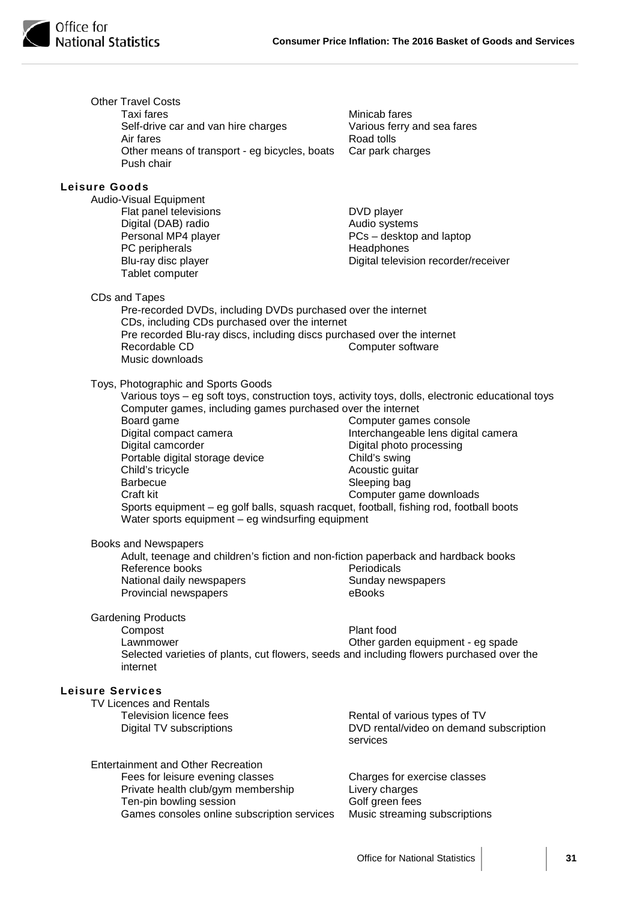

|                         | <b>Other Travel Costs</b><br>Taxi fares<br>Self-drive car and van hire charges<br>Air fares<br>Other means of transport - eg bicycles, boats<br>Push chair | Minicab fares<br>Various ferry and sea fares<br>Road tolls<br>Car park charges |
|-------------------------|------------------------------------------------------------------------------------------------------------------------------------------------------------|--------------------------------------------------------------------------------|
|                         |                                                                                                                                                            |                                                                                |
| <b>Leisure Goods</b>    |                                                                                                                                                            |                                                                                |
|                         | Audio-Visual Equipment<br>Flat panel televisions                                                                                                           | DVD player                                                                     |
|                         | Digital (DAB) radio                                                                                                                                        | Audio systems                                                                  |
|                         | Personal MP4 player                                                                                                                                        | PCs - desktop and laptop                                                       |
|                         | PC peripherals                                                                                                                                             | Headphones                                                                     |
|                         | Blu-ray disc player<br>Tablet computer                                                                                                                     | Digital television recorder/receiver                                           |
|                         | CDs and Tapes                                                                                                                                              |                                                                                |
|                         | Pre-recorded DVDs, including DVDs purchased over the internet                                                                                              |                                                                                |
|                         | CDs, including CDs purchased over the internet                                                                                                             |                                                                                |
|                         | Pre recorded Blu-ray discs, including discs purchased over the internet<br>Recordable CD                                                                   | Computer software                                                              |
|                         | Music downloads                                                                                                                                            |                                                                                |
|                         | Toys, Photographic and Sports Goods                                                                                                                        |                                                                                |
|                         | Various toys - eg soft toys, construction toys, activity toys, dolls, electronic educational toys                                                          |                                                                                |
|                         | Computer games, including games purchased over the internet                                                                                                |                                                                                |
|                         | Board game                                                                                                                                                 | Computer games console                                                         |
|                         | Digital compact camera                                                                                                                                     | Interchangeable lens digital camera                                            |
|                         | Digital camcorder<br>Portable digital storage device                                                                                                       | Digital photo processing<br>Child's swing                                      |
|                         | Child's tricycle                                                                                                                                           | Acoustic guitar                                                                |
|                         | <b>Barbecue</b>                                                                                                                                            | Sleeping bag                                                                   |
|                         | Craft kit                                                                                                                                                  | Computer game downloads                                                        |
|                         | Sports equipment - eg golf balls, squash racquet, football, fishing rod, football boots<br>Water sports equipment - eg windsurfing equipment               |                                                                                |
|                         | Books and Newspapers                                                                                                                                       |                                                                                |
|                         | Adult, teenage and children's fiction and non-fiction paperback and hardback books                                                                         |                                                                                |
|                         | Reference books                                                                                                                                            | Periodicals                                                                    |
|                         | National daily newspapers                                                                                                                                  | Sunday newspapers                                                              |
|                         | Provincial newspapers                                                                                                                                      | eBooks                                                                         |
|                         | <b>Gardening Products</b>                                                                                                                                  |                                                                                |
|                         | Compost                                                                                                                                                    | Plant food                                                                     |
|                         | Lawnmower                                                                                                                                                  | Other garden equipment - eg spade                                              |
|                         | Selected varieties of plants, cut flowers, seeds and including flowers purchased over the<br>internet                                                      |                                                                                |
| <b>Leisure Services</b> |                                                                                                                                                            |                                                                                |
|                         | <b>TV Licences and Rentals</b>                                                                                                                             |                                                                                |
|                         | Television licence fees                                                                                                                                    | Rental of various types of TV                                                  |
|                         | Digital TV subscriptions                                                                                                                                   | DVD rental/video on demand subscription<br>services                            |
|                         |                                                                                                                                                            |                                                                                |
|                         | <b>Entertainment and Other Recreation</b>                                                                                                                  | Charges for exercise classes                                                   |
|                         | Fees for leisure evening classes<br>Private health club/gym membership                                                                                     | Livery charges                                                                 |
|                         | Ten-pin bowling session                                                                                                                                    | Golf green fees                                                                |
|                         | Games consoles online subscription services                                                                                                                | Music streaming subscriptions                                                  |
|                         |                                                                                                                                                            |                                                                                |